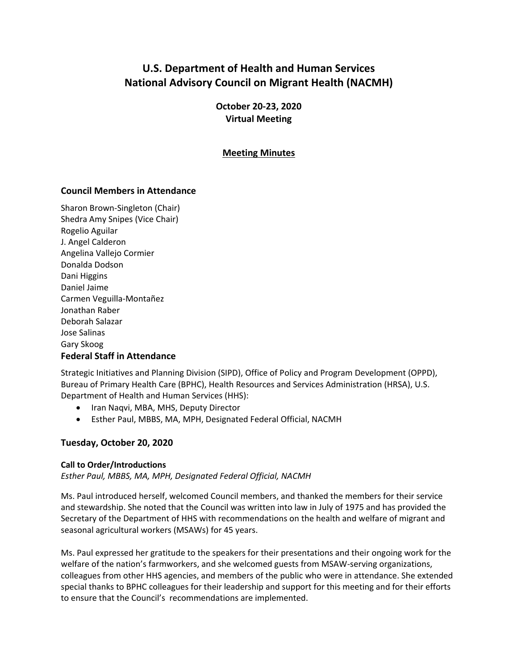# **U.S. Department of Health and Human Services National Advisory Council on Migrant Health (NACMH)**

**October 20-23, 2020 Virtual Meeting**

# **Meeting Minutes**

# **Council Members in Attendance**

Sharon Brown-Singleton (Chair) Shedra Amy Snipes (Vice Chair) Rogelio Aguilar J. Angel Calderon Angelina Vallejo Cormier Donalda Dodson Dani Higgins Daniel Jaime Carmen Veguilla-Montañez Jonathan Raber Deborah Salazar Jose Salinas Gary Skoog **Federal Staff in Attendance**

Strategic Initiatives and Planning Division (SIPD), Office of Policy and Program Development (OPPD), Bureau of Primary Health Care (BPHC), Health Resources and Services Administration (HRSA), U.S. Department of Health and Human Services (HHS):

- Iran Naqvi, MBA, MHS, Deputy Director
- Esther Paul, MBBS, MA, MPH, Designated Federal Official, NACMH

# **Tuesday, October 20, 2020**

#### **Call to Order/Introductions**

*Esther Paul, MBBS, MA, MPH, Designated Federal Official, NACMH*

Ms. Paul introduced herself, welcomed Council members, and thanked the members for their service and stewardship. She noted that the Council was written into law in July of 1975 and has provided the Secretary of the Department of HHS with recommendations on the health and welfare of migrant and seasonal agricultural workers (MSAWs) for 45 years.

Ms. Paul expressed her gratitude to the speakers for their presentations and their ongoing work for the welfare of the nation's farmworkers, and she welcomed guests from MSAW-serving organizations, colleagues from other HHS agencies, and members of the public who were in attendance. She extended special thanks to BPHC colleagues for their leadership and support for this meeting and for their efforts to ensure that the Council's recommendations are implemented.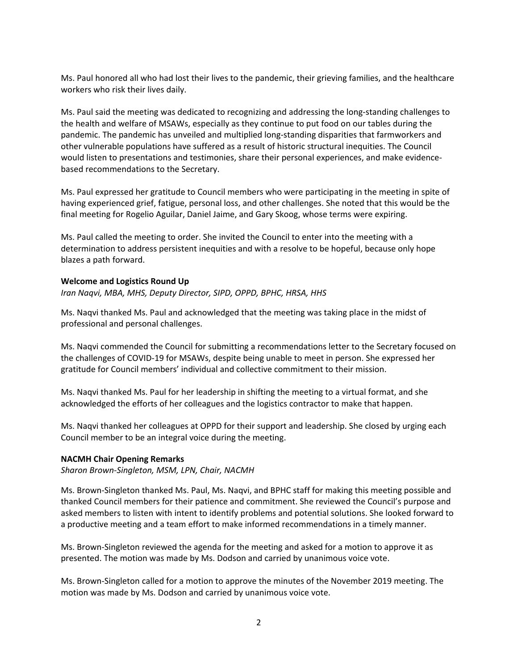Ms. Paul honored all who had lost their lives to the pandemic, their grieving families, and the healthcare workers who risk their lives daily.

Ms. Paul said the meeting was dedicated to recognizing and addressing the long-standing challenges to the health and welfare of MSAWs, especially as they continue to put food on our tables during the pandemic. The pandemic has unveiled and multiplied long-standing disparities that farmworkers and other vulnerable populations have suffered as a result of historic structural inequities. The Council would listen to presentations and testimonies, share their personal experiences, and make evidencebased recommendations to the Secretary.

Ms. Paul expressed her gratitude to Council members who were participating in the meeting in spite of having experienced grief, fatigue, personal loss, and other challenges. She noted that this would be the final meeting for Rogelio Aguilar, Daniel Jaime, and Gary Skoog, whose terms were expiring.

Ms. Paul called the meeting to order. She invited the Council to enter into the meeting with a determination to address persistent inequities and with a resolve to be hopeful, because only hope blazes a path forward.

#### **Welcome and Logistics Round Up**

*Iran Naqvi, MBA, MHS, Deputy Director, SIPD, OPPD, BPHC, HRSA, HHS*

Ms. Naqvi thanked Ms. Paul and acknowledged that the meeting was taking place in the midst of professional and personal challenges.

Ms. Naqvi commended the Council for submitting a recommendations letter to the Secretary focused on the challenges of COVID-19 for MSAWs, despite being unable to meet in person. She expressed her gratitude for Council members' individual and collective commitment to their mission.

Ms. Naqvi thanked Ms. Paul for her leadership in shifting the meeting to a virtual format, and she acknowledged the efforts of her colleagues and the logistics contractor to make that happen.

Ms. Naqvi thanked her colleagues at OPPD for their support and leadership. She closed by urging each Council member to be an integral voice during the meeting.

#### **NACMH Chair Opening Remarks**

*Sharon Brown-Singleton, MSM, LPN, Chair, NACMH*

Ms. Brown-Singleton thanked Ms. Paul, Ms. Naqvi, and BPHC staff for making this meeting possible and thanked Council members for their patience and commitment. She reviewed the Council's purpose and asked members to listen with intent to identify problems and potential solutions. She looked forward to a productive meeting and a team effort to make informed recommendations in a timely manner.

Ms. Brown-Singleton reviewed the agenda for the meeting and asked for a motion to approve it as presented. The motion was made by Ms. Dodson and carried by unanimous voice vote.

Ms. Brown-Singleton called for a motion to approve the minutes of the November 2019 meeting. The motion was made by Ms. Dodson and carried by unanimous voice vote.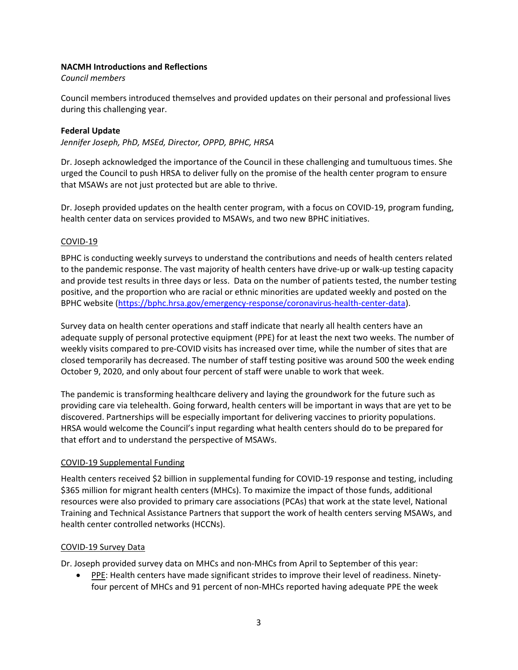#### **NACMH Introductions and Reflections**

#### *Council members*

Council members introduced themselves and provided updates on their personal and professional lives during this challenging year.

## **Federal Update**

*Jennifer Joseph, PhD, MSEd, Director, OPPD, BPHC, HRSA*

Dr. Joseph acknowledged the importance of the Council in these challenging and tumultuous times. She urged the Council to push HRSA to deliver fully on the promise of the health center program to ensure that MSAWs are not just protected but are able to thrive.

Dr. Joseph provided updates on the health center program, with a focus on COVID-19, program funding, health center data on services provided to MSAWs, and two new BPHC initiatives.

## COVID-19

BPHC is conducting weekly surveys to understand the contributions and needs of health centers related to the pandemic response. The vast majority of health centers have drive-up or walk-up testing capacity and provide test results in three days or less. Data on the number of patients tested, the number testing positive, and the proportion who are racial or ethnic minorities are updated weekly and posted on the BPHC website [\(https://bphc.hrsa.gov/emergency-response/coronavirus-health-center-data\)](https://bphc.hrsa.gov/emergency-response/coronavirus-health-center-data).

Survey data on health center operations and staff indicate that nearly all health centers have an adequate supply of personal protective equipment (PPE) for at least the next two weeks. The number of weekly visits compared to pre-COVID visits has increased over time, while the number of sites that are closed temporarily has decreased. The number of staff testing positive was around 500 the week ending October 9, 2020, and only about four percent of staff were unable to work that week.

The pandemic is transforming healthcare delivery and laying the groundwork for the future such as providing care via telehealth. Going forward, health centers will be important in ways that are yet to be discovered. Partnerships will be especially important for delivering vaccines to priority populations. HRSA would welcome the Council's input regarding what health centers should do to be prepared for that effort and to understand the perspective of MSAWs.

# COVID-19 Supplemental Funding

Health centers received \$2 billion in supplemental funding for COVID-19 response and testing, including \$365 million for migrant health centers (MHCs). To maximize the impact of those funds, additional resources were also provided to primary care associations (PCAs) that work at the state level, National Training and Technical Assistance Partners that support the work of health centers serving MSAWs, and health center controlled networks (HCCNs).

# COVID-19 Survey Data

Dr. Joseph provided survey data on MHCs and non-MHCs from April to September of this year:

• PPE: Health centers have made significant strides to improve their level of readiness. Ninetyfour percent of MHCs and 91 percent of non-MHCs reported having adequate PPE the week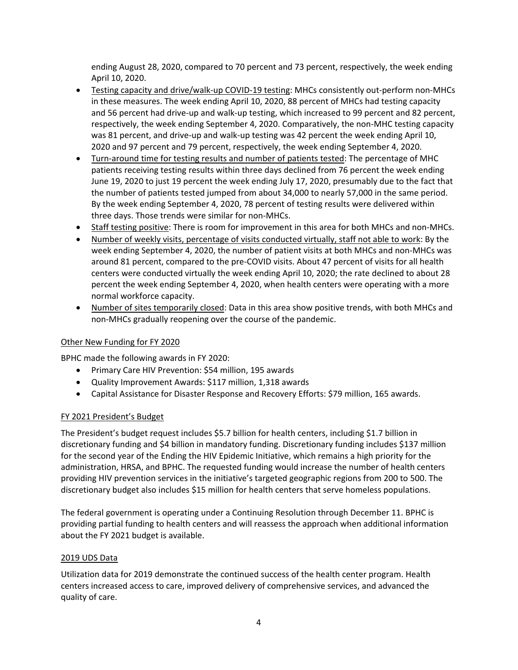ending August 28, 2020, compared to 70 percent and 73 percent, respectively, the week ending April 10, 2020.

- Testing capacity and drive/walk-up COVID-19 testing: MHCs consistently out-perform non-MHCs in these measures. The week ending April 10, 2020, 88 percent of MHCs had testing capacity and 56 percent had drive-up and walk-up testing, which increased to 99 percent and 82 percent, respectively, the week ending September 4, 2020. Comparatively, the non-MHC testing capacity was 81 percent, and drive-up and walk-up testing was 42 percent the week ending April 10, 2020 and 97 percent and 79 percent, respectively, the week ending September 4, 2020.
- Turn-around time for testing results and number of patients tested: The percentage of MHC patients receiving testing results within three days declined from 76 percent the week ending June 19, 2020 to just 19 percent the week ending July 17, 2020, presumably due to the fact that the number of patients tested jumped from about 34,000 to nearly 57,000 in the same period. By the week ending September 4, 2020, 78 percent of testing results were delivered within three days. Those trends were similar for non-MHCs.
- Staff testing positive: There is room for improvement in this area for both MHCs and non-MHCs.
- Number of weekly visits, percentage of visits conducted virtually, staff not able to work: By the week ending September 4, 2020, the number of patient visits at both MHCs and non-MHCs was around 81 percent, compared to the pre-COVID visits. About 47 percent of visits for all health centers were conducted virtually the week ending April 10, 2020; the rate declined to about 28 percent the week ending September 4, 2020, when health centers were operating with a more normal workforce capacity.
- Number of sites temporarily closed: Data in this area show positive trends, with both MHCs and non-MHCs gradually reopening over the course of the pandemic.

## Other New Funding for FY 2020

BPHC made the following awards in FY 2020:

- Primary Care HIV Prevention: \$54 million, 195 awards
- Quality Improvement Awards: \$117 million, 1,318 awards
- Capital Assistance for Disaster Response and Recovery Efforts: \$79 million, 165 awards.

#### FY 2021 President's Budget

The President's budget request includes \$5.7 billion for health centers, including \$1.7 billion in discretionary funding and \$4 billion in mandatory funding. Discretionary funding includes \$137 million for the second year of the Ending the HIV Epidemic Initiative, which remains a high priority for the administration, HRSA, and BPHC. The requested funding would increase the number of health centers providing HIV prevention services in the initiative's targeted geographic regions from 200 to 500. The discretionary budget also includes \$15 million for health centers that serve homeless populations.

The federal government is operating under a Continuing Resolution through December 11. BPHC is providing partial funding to health centers and will reassess the approach when additional information about the FY 2021 budget is available.

#### 2019 UDS Data

Utilization data for 2019 demonstrate the continued success of the health center program. Health centers increased access to care, improved delivery of comprehensive services, and advanced the quality of care.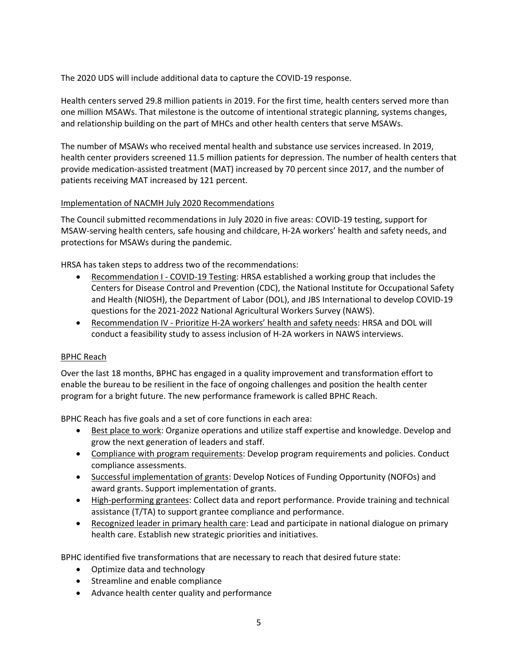The 2020 UDS will include additional data to capture the COVID-19 response.

Health centers served 29.8 million patients in 2019. For the first time, health centers served more than one million MSAWs. That milestone is the outcome of intentional strategic planning, systems changes, and relationship building on the part of MHCs and other health centers that serve MSAWs.

The number of MSAWs who received mental health and substance use services increased. In 2019, health center providers screened 11.5 million patients for depression. The number of health centers that provide medication-assisted treatment (MAT) increased by 70 percent since 2017, and the number of patients receiving MAT increased by 121 percent.

## Implementation of NACMH July 2020 Recommendations

The Council submitted recommendations in July 2020 in five areas: COVID-19 testing, support for MSAW-serving health centers, safe housing and childcare, H-2A workers' health and safety needs, and protections for MSAWs during the pandemic.

HRSA has taken steps to address two of the recommendations:

- Recommendation I COVID-19 Testing: HRSA established a working group that includes the Centers for Disease Control and Prevention (CDC), the National Institute for Occupational Safety and Health (NIOSH), the Department of Labor (DOL), and JBS International to develop COVID-19 questions for the 2021-2022 National Agricultural Workers Survey (NAWS).
- Recommendation IV Prioritize H-2A workers' health and safety needs: HRSA and DOL will conduct a feasibility study to assess inclusion of H-2A workers in NAWS interviews.

#### BPHC Reach

Over the last 18 months, BPHC has engaged in a quality improvement and transformation effort to enable the bureau to be resilient in the face of ongoing challenges and position the health center program for a bright future. The new performance framework is called BPHC Reach.

BPHC Reach has five goals and a set of core functions in each area:

- Best place to work: Organize operations and utilize staff expertise and knowledge. Develop and grow the next generation of leaders and staff.
- Compliance with program requirements: Develop program requirements and policies. Conduct compliance assessments.
- Successful implementation of grants: Develop Notices of Funding Opportunity (NOFOs) and award grants. Support implementation of grants.
- High-performing grantees: Collect data and report performance. Provide training and technical assistance (T/TA) to support grantee compliance and performance.
- Recognized leader in primary health care: Lead and participate in national dialogue on primary health care. Establish new strategic priorities and initiatives.

BPHC identified five transformations that are necessary to reach that desired future state:

- Optimize data and technology
- Streamline and enable compliance
- Advance health center quality and performance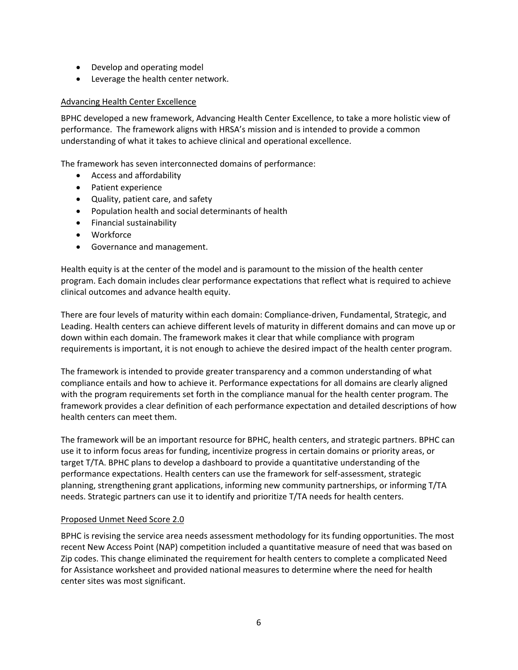- Develop and operating model
- Leverage the health center network.

#### Advancing Health Center Excellence

BPHC developed a new framework, Advancing Health Center Excellence, to take a more holistic view of performance. The framework aligns with HRSA's mission and is intended to provide a common understanding of what it takes to achieve clinical and operational excellence.

The framework has seven interconnected domains of performance:

- Access and affordability
- Patient experience
- Quality, patient care, and safety
- Population health and social determinants of health
- Financial sustainability
- Workforce
- Governance and management.

Health equity is at the center of the model and is paramount to the mission of the health center program. Each domain includes clear performance expectations that reflect what is required to achieve clinical outcomes and advance health equity.

There are four levels of maturity within each domain: Compliance-driven, Fundamental, Strategic, and Leading. Health centers can achieve different levels of maturity in different domains and can move up or down within each domain. The framework makes it clear that while compliance with program requirements is important, it is not enough to achieve the desired impact of the health center program.

The framework is intended to provide greater transparency and a common understanding of what compliance entails and how to achieve it. Performance expectations for all domains are clearly aligned with the program requirements set forth in the compliance manual for the health center program. The framework provides a clear definition of each performance expectation and detailed descriptions of how health centers can meet them.

The framework will be an important resource for BPHC, health centers, and strategic partners. BPHC can use it to inform focus areas for funding, incentivize progress in certain domains or priority areas, or target T/TA. BPHC plans to develop a dashboard to provide a quantitative understanding of the performance expectations. Health centers can use the framework for self-assessment, strategic planning, strengthening grant applications, informing new community partnerships, or informing T/TA needs. Strategic partners can use it to identify and prioritize T/TA needs for health centers.

#### Proposed Unmet Need Score 2.0

BPHC is revising the service area needs assessment methodology for its funding opportunities. The most recent New Access Point (NAP) competition included a quantitative measure of need that was based on Zip codes. This change eliminated the requirement for health centers to complete a complicated Need for Assistance worksheet and provided national measures to determine where the need for health center sites was most significant.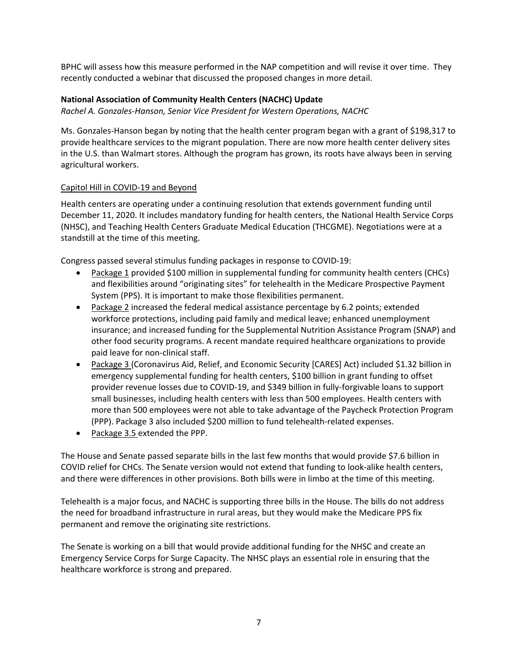BPHC will assess how this measure performed in the NAP competition and will revise it over time. They recently conducted a webinar that discussed the proposed changes in more detail.

## **National Association of Community Health Centers (NACHC) Update**

*Rachel A. Gonzales-Hanson, Senior Vice President for Western Operations, NACHC*

Ms. Gonzales-Hanson began by noting that the health center program began with a grant of \$198,317 to provide healthcare services to the migrant population. There are now more health center delivery sites in the U.S. than Walmart stores. Although the program has grown, its roots have always been in serving agricultural workers.

#### Capitol Hill in COVID-19 and Beyond

Health centers are operating under a continuing resolution that extends government funding until December 11, 2020. It includes mandatory funding for health centers, the National Health Service Corps (NHSC), and Teaching Health Centers Graduate Medical Education (THCGME). Negotiations were at a standstill at the time of this meeting.

Congress passed several stimulus funding packages in response to COVID-19:

- Package 1 provided \$100 million in supplemental funding for community health centers (CHCs) and flexibilities around "originating sites" for telehealth in the Medicare Prospective Payment System (PPS). It is important to make those flexibilities permanent.
- Package 2 increased the federal medical assistance percentage by 6.2 points; extended workforce protections, including paid family and medical leave; enhanced unemployment insurance; and increased funding for the Supplemental Nutrition Assistance Program (SNAP) and other food security programs. A recent mandate required healthcare organizations to provide paid leave for non-clinical staff.
- Package 3 (Coronavirus Aid, Relief, and Economic Security [CARES] Act) included \$1.32 billion in emergency supplemental funding for health centers, \$100 billion in grant funding to offset provider revenue losses due to COVID-19, and \$349 billion in fully-forgivable loans to support small businesses, including health centers with less than 500 employees. Health centers with more than 500 employees were not able to take advantage of the Paycheck Protection Program (PPP). Package 3 also included \$200 million to fund telehealth-related expenses.
- Package 3.5 extended the PPP.

The House and Senate passed separate bills in the last few months that would provide \$7.6 billion in COVID relief for CHCs. The Senate version would not extend that funding to look-alike health centers, and there were differences in other provisions. Both bills were in limbo at the time of this meeting.

Telehealth is a major focus, and NACHC is supporting three bills in the House. The bills do not address the need for broadband infrastructure in rural areas, but they would make the Medicare PPS fix permanent and remove the originating site restrictions.

The Senate is working on a bill that would provide additional funding for the NHSC and create an Emergency Service Corps for Surge Capacity. The NHSC plays an essential role in ensuring that the healthcare workforce is strong and prepared.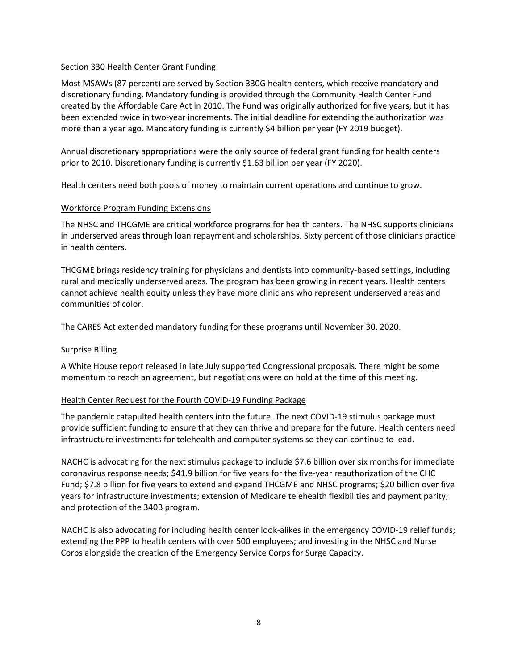#### Section 330 Health Center Grant Funding

Most MSAWs (87 percent) are served by Section 330G health centers, which receive mandatory and discretionary funding. Mandatory funding is provided through the Community Health Center Fund created by the Affordable Care Act in 2010. The Fund was originally authorized for five years, but it has been extended twice in two-year increments. The initial deadline for extending the authorization was more than a year ago. Mandatory funding is currently \$4 billion per year (FY 2019 budget).

Annual discretionary appropriations were the only source of federal grant funding for health centers prior to 2010. Discretionary funding is currently \$1.63 billion per year (FY 2020).

Health centers need both pools of money to maintain current operations and continue to grow.

#### Workforce Program Funding Extensions

The NHSC and THCGME are critical workforce programs for health centers. The NHSC supports clinicians in underserved areas through loan repayment and scholarships. Sixty percent of those clinicians practice in health centers.

THCGME brings residency training for physicians and dentists into community-based settings, including rural and medically underserved areas. The program has been growing in recent years. Health centers cannot achieve health equity unless they have more clinicians who represent underserved areas and communities of color.

The CARES Act extended mandatory funding for these programs until November 30, 2020.

#### Surprise Billing

A White House report released in late July supported Congressional proposals. There might be some momentum to reach an agreement, but negotiations were on hold at the time of this meeting.

#### Health Center Request for the Fourth COVID-19 Funding Package

The pandemic catapulted health centers into the future. The next COVID-19 stimulus package must provide sufficient funding to ensure that they can thrive and prepare for the future. Health centers need infrastructure investments for telehealth and computer systems so they can continue to lead.

NACHC is advocating for the next stimulus package to include \$7.6 billion over six months for immediate coronavirus response needs; \$41.9 billion for five years for the five-year reauthorization of the CHC Fund; \$7.8 billion for five years to extend and expand THCGME and NHSC programs; \$20 billion over five years for infrastructure investments; extension of Medicare telehealth flexibilities and payment parity; and protection of the 340B program.

NACHC is also advocating for including health center look-alikes in the emergency COVID-19 relief funds; extending the PPP to health centers with over 500 employees; and investing in the NHSC and Nurse Corps alongside the creation of the Emergency Service Corps for Surge Capacity.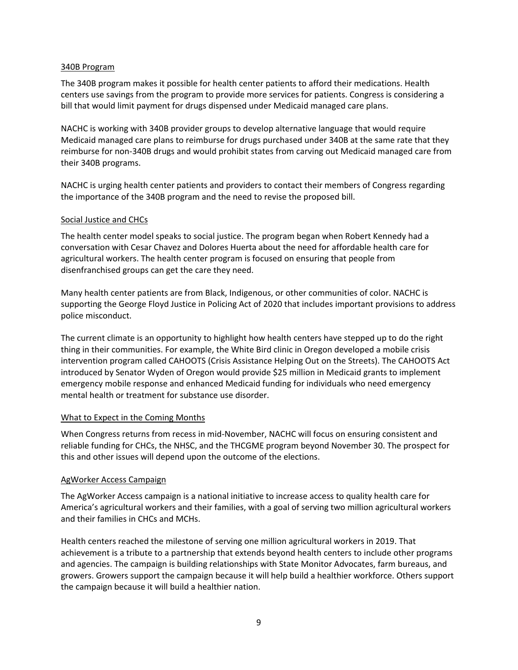#### 340B Program

The 340B program makes it possible for health center patients to afford their medications. Health centers use savings from the program to provide more services for patients. Congress is considering a bill that would limit payment for drugs dispensed under Medicaid managed care plans.

NACHC is working with 340B provider groups to develop alternative language that would require Medicaid managed care plans to reimburse for drugs purchased under 340B at the same rate that they reimburse for non-340B drugs and would prohibit states from carving out Medicaid managed care from their 340B programs.

NACHC is urging health center patients and providers to contact their members of Congress regarding the importance of the 340B program and the need to revise the proposed bill.

#### Social Justice and CHCs

The health center model speaks to social justice. The program began when Robert Kennedy had a conversation with Cesar Chavez and Dolores Huerta about the need for affordable health care for agricultural workers. The health center program is focused on ensuring that people from disenfranchised groups can get the care they need.

Many health center patients are from Black, Indigenous, or other communities of color. NACHC is supporting the George Floyd Justice in Policing Act of 2020 that includes important provisions to address police misconduct.

The current climate is an opportunity to highlight how health centers have stepped up to do the right thing in their communities. For example, the White Bird clinic in Oregon developed a mobile crisis intervention program called CAHOOTS (Crisis Assistance Helping Out on the Streets). The CAHOOTS Act introduced by Senator Wyden of Oregon would provide \$25 million in Medicaid grants to implement emergency mobile response and enhanced Medicaid funding for individuals who need emergency mental health or treatment for substance use disorder.

#### What to Expect in the Coming Months

When Congress returns from recess in mid-November, NACHC will focus on ensuring consistent and reliable funding for CHCs, the NHSC, and the THCGME program beyond November 30. The prospect for this and other issues will depend upon the outcome of the elections.

#### AgWorker Access Campaign

The AgWorker Access campaign is a national initiative to increase access to quality health care for America's agricultural workers and their families, with a goal of serving two million agricultural workers and their families in CHCs and MCHs.

Health centers reached the milestone of serving one million agricultural workers in 2019. That achievement is a tribute to a partnership that extends beyond health centers to include other programs and agencies. The campaign is building relationships with State Monitor Advocates, farm bureaus, and growers. Growers support the campaign because it will help build a healthier workforce. Others support the campaign because it will build a healthier nation.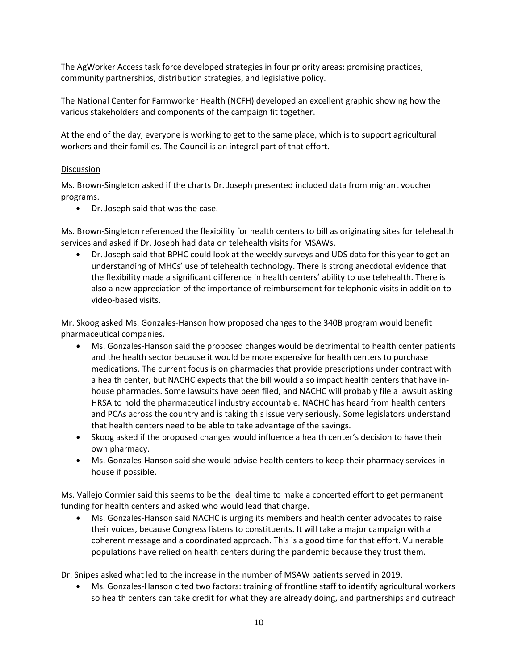The AgWorker Access task force developed strategies in four priority areas: promising practices, community partnerships, distribution strategies, and legislative policy.

The National Center for Farmworker Health (NCFH) developed an excellent graphic showing how the various stakeholders and components of the campaign fit together.

At the end of the day, everyone is working to get to the same place, which is to support agricultural workers and their families. The Council is an integral part of that effort.

#### **Discussion**

Ms. Brown-Singleton asked if the charts Dr. Joseph presented included data from migrant voucher programs.

• Dr. Joseph said that was the case.

Ms. Brown-Singleton referenced the flexibility for health centers to bill as originating sites for telehealth services and asked if Dr. Joseph had data on telehealth visits for MSAWs.

• Dr. Joseph said that BPHC could look at the weekly surveys and UDS data for this year to get an understanding of MHCs' use of telehealth technology. There is strong anecdotal evidence that the flexibility made a significant difference in health centers' ability to use telehealth. There is also a new appreciation of the importance of reimbursement for telephonic visits in addition to video-based visits.

Mr. Skoog asked Ms. Gonzales-Hanson how proposed changes to the 340B program would benefit pharmaceutical companies.

- Ms. Gonzales-Hanson said the proposed changes would be detrimental to health center patients and the health sector because it would be more expensive for health centers to purchase medications. The current focus is on pharmacies that provide prescriptions under contract with a health center, but NACHC expects that the bill would also impact health centers that have inhouse pharmacies. Some lawsuits have been filed, and NACHC will probably file a lawsuit asking HRSA to hold the pharmaceutical industry accountable. NACHC has heard from health centers and PCAs across the country and is taking this issue very seriously. Some legislators understand that health centers need to be able to take advantage of the savings.
- Skoog asked if the proposed changes would influence a health center's decision to have their own pharmacy.
- Ms. Gonzales-Hanson said she would advise health centers to keep their pharmacy services inhouse if possible.

Ms. Vallejo Cormier said this seems to be the ideal time to make a concerted effort to get permanent funding for health centers and asked who would lead that charge.

• Ms. Gonzales-Hanson said NACHC is urging its members and health center advocates to raise their voices, because Congress listens to constituents. It will take a major campaign with a coherent message and a coordinated approach. This is a good time for that effort. Vulnerable populations have relied on health centers during the pandemic because they trust them.

Dr. Snipes asked what led to the increase in the number of MSAW patients served in 2019.

• Ms. Gonzales-Hanson cited two factors: training of frontline staff to identify agricultural workers so health centers can take credit for what they are already doing, and partnerships and outreach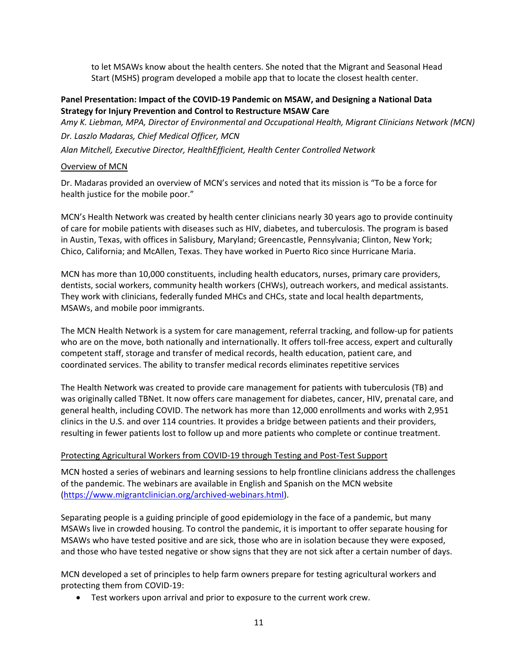to let MSAWs know about the health centers. She noted that the Migrant and Seasonal Head Start (MSHS) program developed a mobile app that to locate the closest health center.

## **Panel Presentation: Impact of the COVID-19 Pandemic on MSAW, and Designing a National Data Strategy for Injury Prevention and Control to Restructure MSAW Care**

*Amy K. Liebman, MPA, Director of Environmental and Occupational Health, Migrant Clinicians Network (MCN) Dr. Laszlo Madaras, Chief Medical Officer, MCN* 

*Alan Mitchell, Executive Director, HealthEfficient, Health Center Controlled Network*

## Overview of MCN

Dr. Madaras provided an overview of MCN's services and noted that its mission is "To be a force for health justice for the mobile poor."

MCN's Health Network was created by health center clinicians nearly 30 years ago to provide continuity of care for mobile patients with diseases such as HIV, diabetes, and tuberculosis. The program is based in Austin, Texas, with offices in Salisbury, Maryland; Greencastle, Pennsylvania; Clinton, New York; Chico, California; and McAllen, Texas. They have worked in Puerto Rico since Hurricane Maria.

MCN has more than 10,000 constituents, including health educators, nurses, primary care providers, dentists, social workers, community health workers (CHWs), outreach workers, and medical assistants. They work with clinicians, federally funded MHCs and CHCs, state and local health departments, MSAWs, and mobile poor immigrants.

The MCN Health Network is a system for care management, referral tracking, and follow-up for patients who are on the move, both nationally and internationally. It offers toll-free access, expert and culturally competent staff, storage and transfer of medical records, health education, patient care, and coordinated services. The ability to transfer medical records eliminates repetitive services

The Health Network was created to provide care management for patients with tuberculosis (TB) and was originally called TBNet. It now offers care management for diabetes, cancer, HIV, prenatal care, and general health, including COVID. The network has more than 12,000 enrollments and works with 2,951 clinics in the U.S. and over 114 countries. It provides a bridge between patients and their providers, resulting in fewer patients lost to follow up and more patients who complete or continue treatment.

#### Protecting Agricultural Workers from COVID-19 through Testing and Post-Test Support

MCN hosted a series of webinars and learning sessions to help frontline clinicians address the challenges of the pandemic. The webinars are available in English and Spanish on the MCN website [\(https://www.migrantclinician.org/archived-webinars.html\)](https://www.migrantclinician.org/archived-webinars.html).

Separating people is a guiding principle of good epidemiology in the face of a pandemic, but many MSAWs live in crowded housing. To control the pandemic, it is important to offer separate housing for MSAWs who have tested positive and are sick, those who are in isolation because they were exposed, and those who have tested negative or show signs that they are not sick after a certain number of days.

MCN developed a set of principles to help farm owners prepare for testing agricultural workers and protecting them from COVID-19:

• Test workers upon arrival and prior to exposure to the current work crew.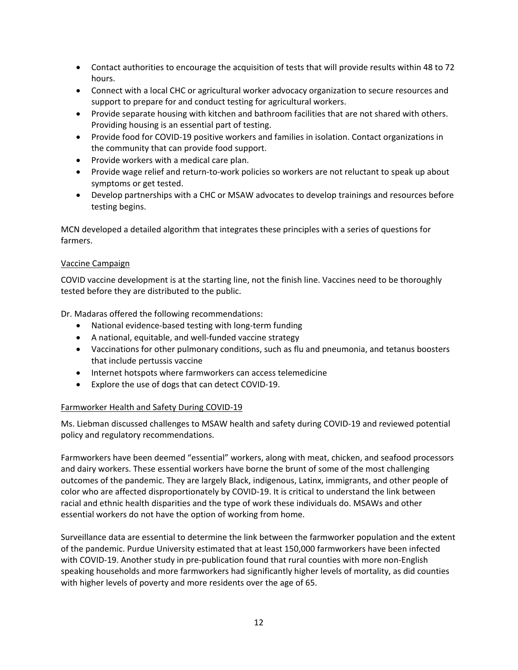- Contact authorities to encourage the acquisition of tests that will provide results within 48 to 72 hours.
- Connect with a local CHC or agricultural worker advocacy organization to secure resources and support to prepare for and conduct testing for agricultural workers.
- Provide separate housing with kitchen and bathroom facilities that are not shared with others. Providing housing is an essential part of testing.
- Provide food for COVID-19 positive workers and families in isolation. Contact organizations in the community that can provide food support.
- Provide workers with a medical care plan.
- Provide wage relief and return-to-work policies so workers are not reluctant to speak up about symptoms or get tested.
- Develop partnerships with a CHC or MSAW advocates to develop trainings and resources before testing begins.

MCN developed a detailed algorithm that integrates these principles with a series of questions for farmers.

#### Vaccine Campaign

COVID vaccine development is at the starting line, not the finish line. Vaccines need to be thoroughly tested before they are distributed to the public.

Dr. Madaras offered the following recommendations:

- National evidence-based testing with long-term funding
- A national, equitable, and well-funded vaccine strategy
- Vaccinations for other pulmonary conditions, such as flu and pneumonia, and tetanus boosters that include pertussis vaccine
- Internet hotspots where farmworkers can access telemedicine
- Explore the use of dogs that can detect COVID-19.

#### Farmworker Health and Safety During COVID-19

Ms. Liebman discussed challenges to MSAW health and safety during COVID-19 and reviewed potential policy and regulatory recommendations.

Farmworkers have been deemed "essential" workers, along with meat, chicken, and seafood processors and dairy workers. These essential workers have borne the brunt of some of the most challenging outcomes of the pandemic. They are largely Black, indigenous, Latinx, immigrants, and other people of color who are affected disproportionately by COVID-19. It is critical to understand the link between racial and ethnic health disparities and the type of work these individuals do. MSAWs and other essential workers do not have the option of working from home.

Surveillance data are essential to determine the link between the farmworker population and the extent of the pandemic. Purdue University estimated that at least 150,000 farmworkers have been infected with COVID-19. Another study in pre-publication found that rural counties with more non-English speaking households and more farmworkers had significantly higher levels of mortality, as did counties with higher levels of poverty and more residents over the age of 65.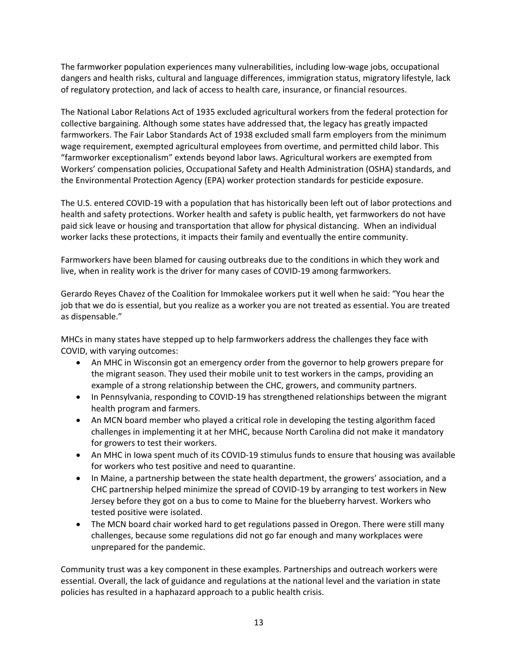The farmworker population experiences many vulnerabilities, including low-wage jobs, occupational dangers and health risks, cultural and language differences, immigration status, migratory lifestyle, lack of regulatory protection, and lack of access to health care, insurance, or financial resources.

The National Labor Relations Act of 1935 excluded agricultural workers from the federal protection for collective bargaining. Although some states have addressed that, the legacy has greatly impacted farmworkers. The Fair Labor Standards Act of 1938 excluded small farm employers from the minimum wage requirement, exempted agricultural employees from overtime, and permitted child labor. This "farmworker exceptionalism" extends beyond labor laws. Agricultural workers are exempted from Workers' compensation policies, Occupational Safety and Health Administration (OSHA) standards, and the Environmental Protection Agency (EPA) worker protection standards for pesticide exposure.

The U.S. entered COVID-19 with a population that has historically been left out of labor protections and health and safety protections. Worker health and safety is public health, yet farmworkers do not have paid sick leave or housing and transportation that allow for physical distancing. When an individual worker lacks these protections, it impacts their family and eventually the entire community.

Farmworkers have been blamed for causing outbreaks due to the conditions in which they work and live, when in reality work is the driver for many cases of COVID-19 among farmworkers.

Gerardo Reyes Chavez of the Coalition for Immokalee workers put it well when he said: "You hear the job that we do is essential, but you realize as a worker you are not treated as essential. You are treated as dispensable."

MHCs in many states have stepped up to help farmworkers address the challenges they face with COVID, with varying outcomes:

- An MHC in Wisconsin got an emergency order from the governor to help growers prepare for the migrant season. They used their mobile unit to test workers in the camps, providing an example of a strong relationship between the CHC, growers, and community partners.
- In Pennsylvania, responding to COVID-19 has strengthened relationships between the migrant health program and farmers.
- An MCN board member who played a critical role in developing the testing algorithm faced challenges in implementing it at her MHC, because North Carolina did not make it mandatory for growers to test their workers.
- An MHC in Iowa spent much of its COVID-19 stimulus funds to ensure that housing was available for workers who test positive and need to quarantine.
- In Maine, a partnership between the state health department, the growers' association, and a CHC partnership helped minimize the spread of COVID-19 by arranging to test workers in New Jersey before they got on a bus to come to Maine for the blueberry harvest. Workers who tested positive were isolated.
- The MCN board chair worked hard to get regulations passed in Oregon. There were still many challenges, because some regulations did not go far enough and many workplaces were unprepared for the pandemic.

Community trust was a key component in these examples. Partnerships and outreach workers were essential. Overall, the lack of guidance and regulations at the national level and the variation in state policies has resulted in a haphazard approach to a public health crisis.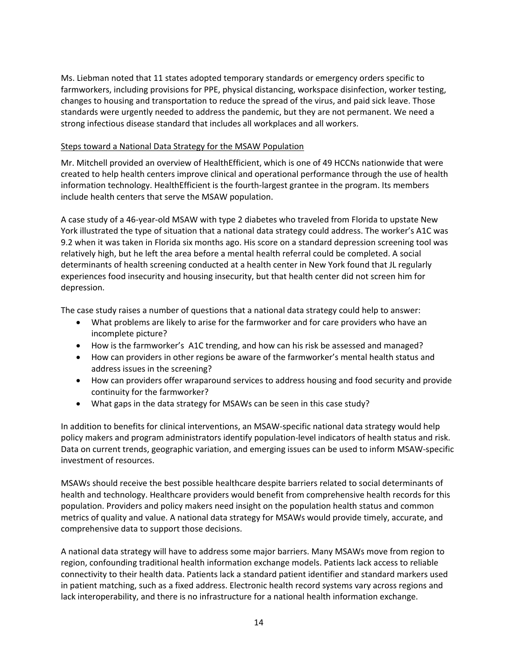Ms. Liebman noted that 11 states adopted temporary standards or emergency orders specific to farmworkers, including provisions for PPE, physical distancing, workspace disinfection, worker testing, changes to housing and transportation to reduce the spread of the virus, and paid sick leave. Those standards were urgently needed to address the pandemic, but they are not permanent. We need a strong infectious disease standard that includes all workplaces and all workers.

#### Steps toward a National Data Strategy for the MSAW Population

Mr. Mitchell provided an overview of HealthEfficient, which is one of 49 HCCNs nationwide that were created to help health centers improve clinical and operational performance through the use of health information technology. HealthEfficient is the fourth-largest grantee in the program. Its members include health centers that serve the MSAW population.

A case study of a 46-year-old MSAW with type 2 diabetes who traveled from Florida to upstate New York illustrated the type of situation that a national data strategy could address. The worker's A1C was 9.2 when it was taken in Florida six months ago. His score on a standard depression screening tool was relatively high, but he left the area before a mental health referral could be completed. A social determinants of health screening conducted at a health center in New York found that JL regularly experiences food insecurity and housing insecurity, but that health center did not screen him for depression.

The case study raises a number of questions that a national data strategy could help to answer:

- What problems are likely to arise for the farmworker and for care providers who have an incomplete picture?
- How is the farmworker's A1C trending, and how can his risk be assessed and managed?
- How can providers in other regions be aware of the farmworker's mental health status and address issues in the screening?
- How can providers offer wraparound services to address housing and food security and provide continuity for the farmworker?
- What gaps in the data strategy for MSAWs can be seen in this case study?

In addition to benefits for clinical interventions, an MSAW-specific national data strategy would help policy makers and program administrators identify population-level indicators of health status and risk. Data on current trends, geographic variation, and emerging issues can be used to inform MSAW-specific investment of resources.

MSAWs should receive the best possible healthcare despite barriers related to social determinants of health and technology. Healthcare providers would benefit from comprehensive health records for this population. Providers and policy makers need insight on the population health status and common metrics of quality and value. A national data strategy for MSAWs would provide timely, accurate, and comprehensive data to support those decisions.

A national data strategy will have to address some major barriers. Many MSAWs move from region to region, confounding traditional health information exchange models. Patients lack access to reliable connectivity to their health data. Patients lack a standard patient identifier and standard markers used in patient matching, such as a fixed address. Electronic health record systems vary across regions and lack interoperability, and there is no infrastructure for a national health information exchange.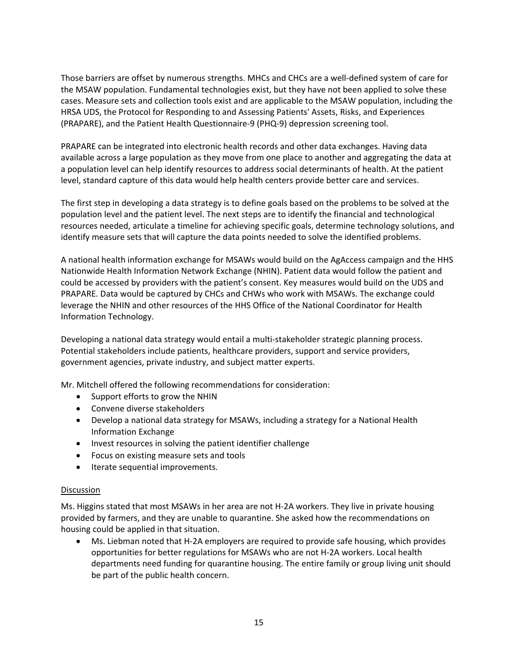Those barriers are offset by numerous strengths. MHCs and CHCs are a well-defined system of care for the MSAW population. Fundamental technologies exist, but they have not been applied to solve these cases. Measure sets and collection tools exist and are applicable to the MSAW population, including the HRSA UDS, the Protocol for Responding to and Assessing Patients' Assets, Risks, and Experiences (PRAPARE), and the Patient Health Questionnaire-9 (PHQ-9) depression screening tool.

PRAPARE can be integrated into electronic health records and other data exchanges. Having data available across a large population as they move from one place to another and aggregating the data at a population level can help identify resources to address social determinants of health. At the patient level, standard capture of this data would help health centers provide better care and services.

The first step in developing a data strategy is to define goals based on the problems to be solved at the population level and the patient level. The next steps are to identify the financial and technological resources needed, articulate a timeline for achieving specific goals, determine technology solutions, and identify measure sets that will capture the data points needed to solve the identified problems.

A national health information exchange for MSAWs would build on the AgAccess campaign and the HHS Nationwide Health Information Network Exchange (NHIN). Patient data would follow the patient and could be accessed by providers with the patient's consent. Key measures would build on the UDS and PRAPARE. Data would be captured by CHCs and CHWs who work with MSAWs. The exchange could leverage the NHIN and other resources of the HHS Office of the National Coordinator for Health Information Technology.

Developing a national data strategy would entail a multi-stakeholder strategic planning process. Potential stakeholders include patients, healthcare providers, support and service providers, government agencies, private industry, and subject matter experts.

Mr. Mitchell offered the following recommendations for consideration:

- Support efforts to grow the NHIN
- Convene diverse stakeholders
- Develop a national data strategy for MSAWs, including a strategy for a National Health Information Exchange
- Invest resources in solving the patient identifier challenge
- Focus on existing measure sets and tools
- Iterate sequential improvements.

#### Discussion

Ms. Higgins stated that most MSAWs in her area are not H-2A workers. They live in private housing provided by farmers, and they are unable to quarantine. She asked how the recommendations on housing could be applied in that situation.

• Ms. Liebman noted that H-2A employers are required to provide safe housing, which provides opportunities for better regulations for MSAWs who are not H-2A workers. Local health departments need funding for quarantine housing. The entire family or group living unit should be part of the public health concern.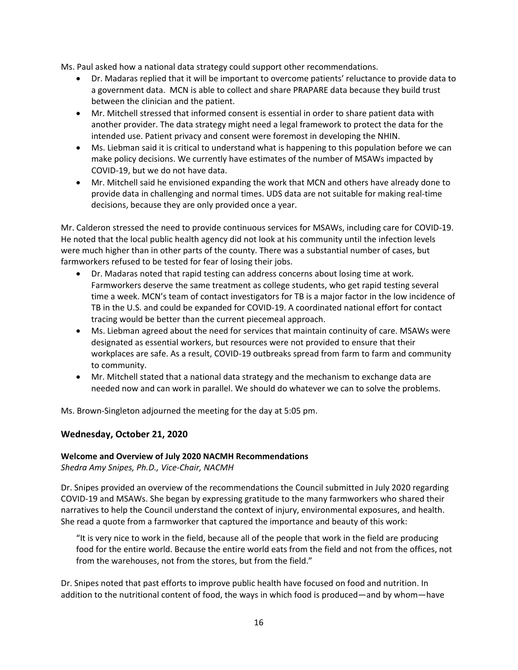Ms. Paul asked how a national data strategy could support other recommendations.

- Dr. Madaras replied that it will be important to overcome patients' reluctance to provide data to a government data. MCN is able to collect and share PRAPARE data because they build trust between the clinician and the patient.
- Mr. Mitchell stressed that informed consent is essential in order to share patient data with another provider. The data strategy might need a legal framework to protect the data for the intended use. Patient privacy and consent were foremost in developing the NHIN.
- Ms. Liebman said it is critical to understand what is happening to this population before we can make policy decisions. We currently have estimates of the number of MSAWs impacted by COVID-19, but we do not have data.
- Mr. Mitchell said he envisioned expanding the work that MCN and others have already done to provide data in challenging and normal times. UDS data are not suitable for making real-time decisions, because they are only provided once a year.

Mr. Calderon stressed the need to provide continuous services for MSAWs, including care for COVID-19. He noted that the local public health agency did not look at his community until the infection levels were much higher than in other parts of the county. There was a substantial number of cases, but farmworkers refused to be tested for fear of losing their jobs.

- Dr. Madaras noted that rapid testing can address concerns about losing time at work. Farmworkers deserve the same treatment as college students, who get rapid testing several time a week. MCN's team of contact investigators for TB is a major factor in the low incidence of TB in the U.S. and could be expanded for COVID-19. A coordinated national effort for contact tracing would be better than the current piecemeal approach.
- Ms. Liebman agreed about the need for services that maintain continuity of care. MSAWs were designated as essential workers, but resources were not provided to ensure that their workplaces are safe. As a result, COVID-19 outbreaks spread from farm to farm and community to community.
- Mr. Mitchell stated that a national data strategy and the mechanism to exchange data are needed now and can work in parallel. We should do whatever we can to solve the problems.

Ms. Brown-Singleton adjourned the meeting for the day at 5:05 pm.

# **Wednesday, October 21, 2020**

# **Welcome and Overview of July 2020 NACMH Recommendations**

*Shedra Amy Snipes, Ph.D., Vice-Chair, NACMH*

Dr. Snipes provided an overview of the recommendations the Council submitted in July 2020 regarding COVID-19 and MSAWs. She began by expressing gratitude to the many farmworkers who shared their narratives to help the Council understand the context of injury, environmental exposures, and health. She read a quote from a farmworker that captured the importance and beauty of this work:

"It is very nice to work in the field, because all of the people that work in the field are producing food for the entire world. Because the entire world eats from the field and not from the offices, not from the warehouses, not from the stores, but from the field."

Dr. Snipes noted that past efforts to improve public health have focused on food and nutrition. In addition to the nutritional content of food, the ways in which food is produced—and by whom—have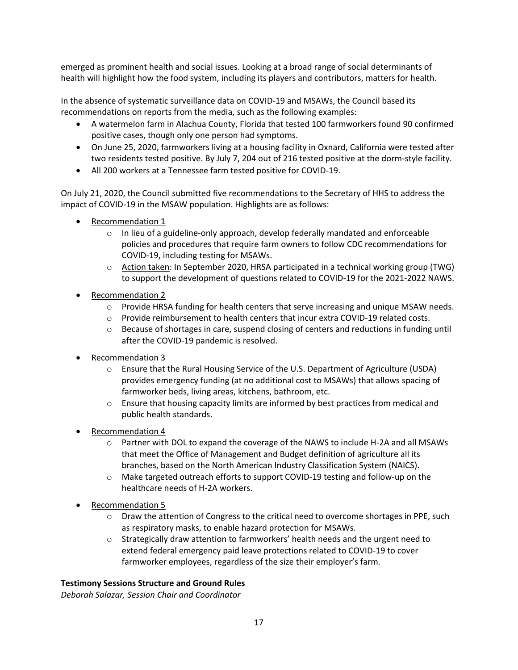emerged as prominent health and social issues. Looking at a broad range of social determinants of health will highlight how the food system, including its players and contributors, matters for health.

In the absence of systematic surveillance data on COVID-19 and MSAWs, the Council based its recommendations on reports from the media, such as the following examples:

- A watermelon farm in Alachua County, Florida that tested 100 farmworkers found 90 confirmed positive cases, though only one person had symptoms.
- On June 25, 2020, farmworkers living at a housing facility in Oxnard, California were tested after two residents tested positive. By July 7, 204 out of 216 tested positive at the dorm-style facility.
- All 200 workers at a Tennessee farm tested positive for COVID-19.

On July 21, 2020, the Council submitted five recommendations to the Secretary of HHS to address the impact of COVID-19 in the MSAW population. Highlights are as follows:

- Recommendation 1
	- In lieu of a guideline-only approach, develop federally mandated and enforceable policies and procedures that require farm owners to follow CDC recommendations for COVID-19, including testing for MSAWs.
	- Action taken: In September 2020, HRSA participated in a technical working group (TWG) to support the development of questions related to COVID-19 for the 2021-2022 NAWS.
- Recommendation 2
	- Provide HRSA funding for health centers that serve increasing and unique MSAW needs.
	- Provide reimbursement to health centers that incur extra COVID-19 related costs.
	- Because of shortages in care, suspend closing of centers and reductions in funding until after the COVID-19 pandemic is resolved.
- Recommendation 3
	- Ensure that the Rural Housing Service of the U.S. Department of Agriculture (USDA) provides emergency funding (at no additional cost to MSAWs) that allows spacing of farmworker beds, living areas, kitchens, bathroom, etc.
	- Ensure that housing capacity limits are informed by best practices from medical and public health standards.
- Recommendation 4
	- Partner with DOL to expand the coverage of the NAWS to include H-2A and all MSAWs that meet the Office of Management and Budget definition of agriculture all its branches, based on the North American Industry Classification System (NAICS).
	- Make targeted outreach efforts to support COVID-19 testing and follow-up on the healthcare needs of H-2A workers.
- Recommendation 5
	- Draw the attention of Congress to the critical need to overcome shortages in PPE, such as respiratory masks, to enable hazard protection for MSAWs.
	- Strategically draw attention to farmworkers' health needs and the urgent need to extend federal emergency paid leave protections related to COVID-19 to cover farmworker employees, regardless of the size their employer's farm.

#### **Testimony Sessions Structure and Ground Rules**

*Deborah Salazar, Session Chair and Coordinator*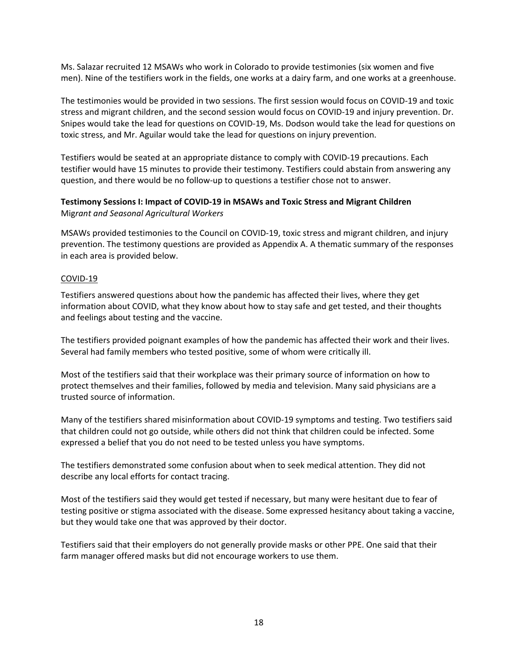Ms. Salazar recruited 12 MSAWs who work in Colorado to provide testimonies (six women and five men). Nine of the testifiers work in the fields, one works at a dairy farm, and one works at a greenhouse.

The testimonies would be provided in two sessions. The first session would focus on COVID-19 and toxic stress and migrant children, and the second session would focus on COVID-19 and injury prevention. Dr. Snipes would take the lead for questions on COVID-19, Ms. Dodson would take the lead for questions on toxic stress, and Mr. Aguilar would take the lead for questions on injury prevention.

Testifiers would be seated at an appropriate distance to comply with COVID-19 precautions. Each testifier would have 15 minutes to provide their testimony. Testifiers could abstain from answering any question, and there would be no follow-up to questions a testifier chose not to answer.

## **Testimony Sessions I: Impact of COVID-19 in MSAWs and Toxic Stress and Migrant Children** Mig*rant and Seasonal Agricultural Workers*

MSAWs provided testimonies to the Council on COVID-19, toxic stress and migrant children, and injury prevention. The testimony questions are provided as Appendix A. A thematic summary of the responses in each area is provided below.

#### COVID-19

Testifiers answered questions about how the pandemic has affected their lives, where they get information about COVID, what they know about how to stay safe and get tested, and their thoughts and feelings about testing and the vaccine.

The testifiers provided poignant examples of how the pandemic has affected their work and their lives. Several had family members who tested positive, some of whom were critically ill.

Most of the testifiers said that their workplace was their primary source of information on how to protect themselves and their families, followed by media and television. Many said physicians are a trusted source of information.

Many of the testifiers shared misinformation about COVID-19 symptoms and testing. Two testifiers said that children could not go outside, while others did not think that children could be infected. Some expressed a belief that you do not need to be tested unless you have symptoms.

The testifiers demonstrated some confusion about when to seek medical attention. They did not describe any local efforts for contact tracing.

Most of the testifiers said they would get tested if necessary, but many were hesitant due to fear of testing positive or stigma associated with the disease. Some expressed hesitancy about taking a vaccine, but they would take one that was approved by their doctor.

Testifiers said that their employers do not generally provide masks or other PPE. One said that their farm manager offered masks but did not encourage workers to use them.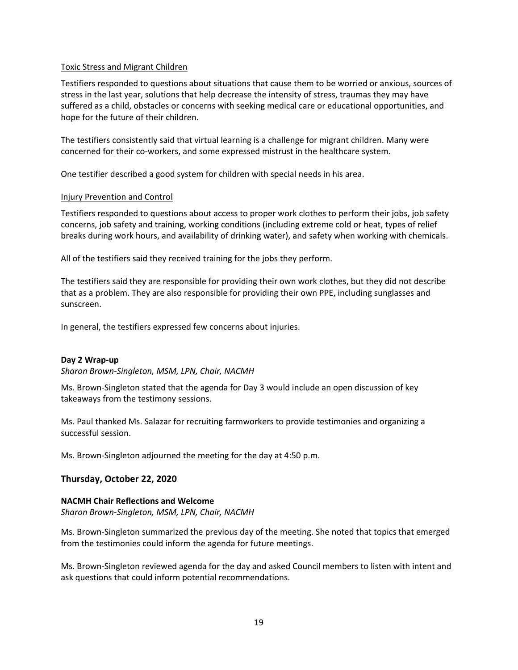#### Toxic Stress and Migrant Children

Testifiers responded to questions about situations that cause them to be worried or anxious, sources of stress in the last year, solutions that help decrease the intensity of stress, traumas they may have suffered as a child, obstacles or concerns with seeking medical care or educational opportunities, and hope for the future of their children.

The testifiers consistently said that virtual learning is a challenge for migrant children. Many were concerned for their co-workers, and some expressed mistrust in the healthcare system.

One testifier described a good system for children with special needs in his area.

#### Injury Prevention and Control

Testifiers responded to questions about access to proper work clothes to perform their jobs, job safety concerns, job safety and training, working conditions (including extreme cold or heat, types of relief breaks during work hours, and availability of drinking water), and safety when working with chemicals.

All of the testifiers said they received training for the jobs they perform.

The testifiers said they are responsible for providing their own work clothes, but they did not describe that as a problem. They are also responsible for providing their own PPE, including sunglasses and sunscreen.

In general, the testifiers expressed few concerns about injuries.

#### **Day 2 Wrap-up**

*Sharon Brown-Singleton, MSM, LPN, Chair, NACMH*

Ms. Brown-Singleton stated that the agenda for Day 3 would include an open discussion of key takeaways from the testimony sessions.

Ms. Paul thanked Ms. Salazar for recruiting farmworkers to provide testimonies and organizing a successful session.

Ms. Brown-Singleton adjourned the meeting for the day at 4:50 p.m.

#### **Thursday, October 22, 2020**

#### **NACMH Chair Reflections and Welcome**

*Sharon Brown-Singleton, MSM, LPN, Chair, NACMH*

Ms. Brown-Singleton summarized the previous day of the meeting. She noted that topics that emerged from the testimonies could inform the agenda for future meetings.

Ms. Brown-Singleton reviewed agenda for the day and asked Council members to listen with intent and ask questions that could inform potential recommendations.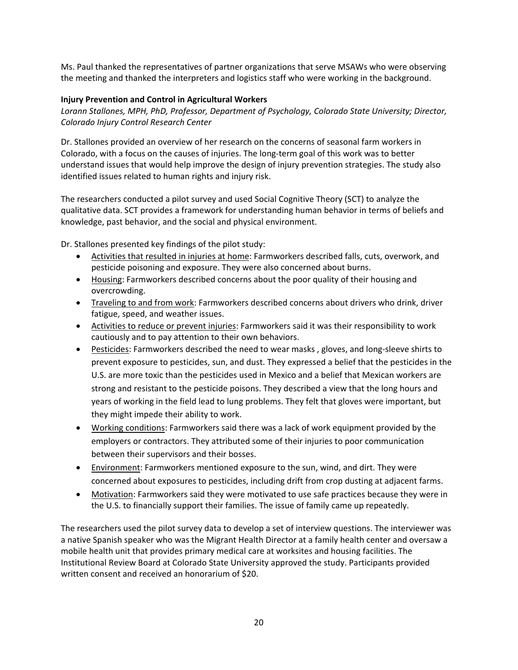Ms. Paul thanked the representatives of partner organizations that serve MSAWs who were observing the meeting and thanked the interpreters and logistics staff who were working in the background.

## **Injury Prevention and Control in Agricultural Workers**

*Lorann Stallones, MPH, PhD, Professor, Department of Psychology, Colorado State University; Director, Colorado Injury Control Research Center*

Dr. Stallones provided an overview of her research on the concerns of seasonal farm workers in Colorado, with a focus on the causes of injuries. The long-term goal of this work was to better understand issues that would help improve the design of injury prevention strategies. The study also identified issues related to human rights and injury risk.

The researchers conducted a pilot survey and used Social Cognitive Theory (SCT) to analyze the qualitative data. SCT provides a framework for understanding human behavior in terms of beliefs and knowledge, past behavior, and the social and physical environment.

Dr. Stallones presented key findings of the pilot study:

- Activities that resulted in injuries at home: Farmworkers described falls, cuts, overwork, and pesticide poisoning and exposure. They were also concerned about burns.
- Housing: Farmworkers described concerns about the poor quality of their housing and overcrowding.
- Traveling to and from work: Farmworkers described concerns about drivers who drink, driver fatigue, speed, and weather issues.
- Activities to reduce or prevent injuries: Farmworkers said it was their responsibility to work cautiously and to pay attention to their own behaviors.
- Pesticides: Farmworkers described the need to wear masks, gloves, and long-sleeve shirts to prevent exposure to pesticides, sun, and dust. They expressed a belief that the pesticides in the U.S. are more toxic than the pesticides used in Mexico and a belief that Mexican workers are strong and resistant to the pesticide poisons. They described a view that the long hours and years of working in the field lead to lung problems. They felt that gloves were important, but they might impede their ability to work.
- Working conditions: Farmworkers said there was a lack of work equipment provided by the employers or contractors. They attributed some of their injuries to poor communication between their supervisors and their bosses.
- Environment: Farmworkers mentioned exposure to the sun, wind, and dirt. They were concerned about exposures to pesticides, including drift from crop dusting at adjacent farms.
- Motivation: Farmworkers said they were motivated to use safe practices because they were in the U.S. to financially support their families. The issue of family came up repeatedly.

The researchers used the pilot survey data to develop a set of interview questions. The interviewer was a native Spanish speaker who was the Migrant Health Director at a family health center and oversaw a mobile health unit that provides primary medical care at worksites and housing facilities. The Institutional Review Board at Colorado State University approved the study. Participants provided written consent and received an honorarium of \$20.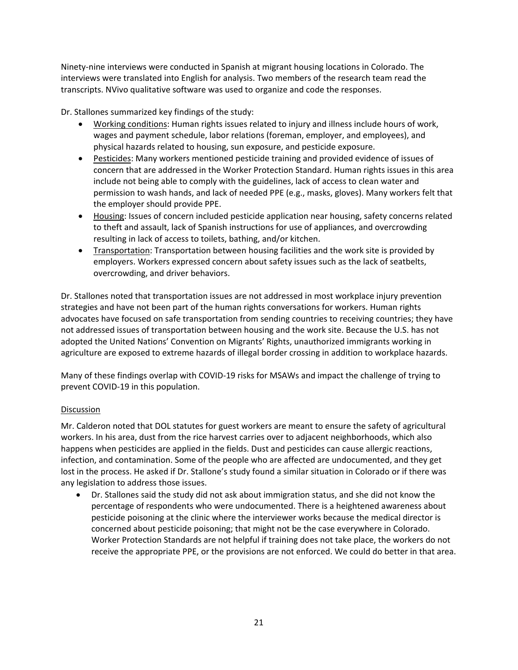Ninety-nine interviews were conducted in Spanish at migrant housing locations in Colorado. The interviews were translated into English for analysis. Two members of the research team read the transcripts. NVivo qualitative software was used to organize and code the responses.

Dr. Stallones summarized key findings of the study:

- Working conditions: Human rights issues related to injury and illness include hours of work, wages and payment schedule, labor relations (foreman, employer, and employees), and physical hazards related to housing, sun exposure, and pesticide exposure.
- Pesticides: Many workers mentioned pesticide training and provided evidence of issues of concern that are addressed in the Worker Protection Standard. Human rights issues in this area include not being able to comply with the guidelines, lack of access to clean water and permission to wash hands, and lack of needed PPE (e.g., masks, gloves). Many workers felt that the employer should provide PPE.
- Housing: Issues of concern included pesticide application near housing, safety concerns related to theft and assault, lack of Spanish instructions for use of appliances, and overcrowding resulting in lack of access to toilets, bathing, and/or kitchen.
- Transportation: Transportation between housing facilities and the work site is provided by employers. Workers expressed concern about safety issues such as the lack of seatbelts, overcrowding, and driver behaviors.

Dr. Stallones noted that transportation issues are not addressed in most workplace injury prevention strategies and have not been part of the human rights conversations for workers. Human rights advocates have focused on safe transportation from sending countries to receiving countries; they have not addressed issues of transportation between housing and the work site. Because the U.S. has not adopted the United Nations' Convention on Migrants' Rights, unauthorized immigrants working in agriculture are exposed to extreme hazards of illegal border crossing in addition to workplace hazards.

Many of these findings overlap with COVID-19 risks for MSAWs and impact the challenge of trying to prevent COVID-19 in this population.

# **Discussion**

Mr. Calderon noted that DOL statutes for guest workers are meant to ensure the safety of agricultural workers. In his area, dust from the rice harvest carries over to adjacent neighborhoods, which also happens when pesticides are applied in the fields. Dust and pesticides can cause allergic reactions, infection, and contamination. Some of the people who are affected are undocumented, and they get lost in the process. He asked if Dr. Stallone's study found a similar situation in Colorado or if there was any legislation to address those issues.

• Dr. Stallones said the study did not ask about immigration status, and she did not know the percentage of respondents who were undocumented. There is a heightened awareness about pesticide poisoning at the clinic where the interviewer works because the medical director is concerned about pesticide poisoning; that might not be the case everywhere in Colorado. Worker Protection Standards are not helpful if training does not take place, the workers do not receive the appropriate PPE, or the provisions are not enforced. We could do better in that area.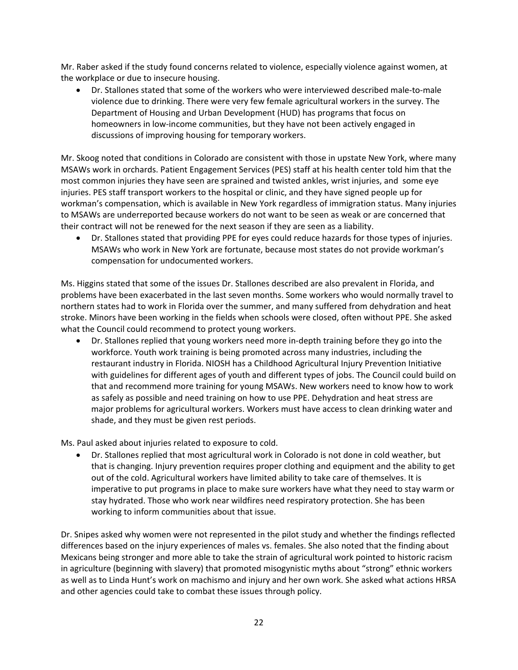Mr. Raber asked if the study found concerns related to violence, especially violence against women, at the workplace or due to insecure housing.

• Dr. Stallones stated that some of the workers who were interviewed described male-to-male violence due to drinking. There were very few female agricultural workers in the survey. The Department of Housing and Urban Development (HUD) has programs that focus on homeowners in low-income communities, but they have not been actively engaged in discussions of improving housing for temporary workers.

Mr. Skoog noted that conditions in Colorado are consistent with those in upstate New York, where many MSAWs work in orchards. Patient Engagement Services (PES) staff at his health center told him that the most common injuries they have seen are sprained and twisted ankles, wrist injuries, and some eye injuries. PES staff transport workers to the hospital or clinic, and they have signed people up for workman's compensation, which is available in New York regardless of immigration status. Many injuries to MSAWs are underreported because workers do not want to be seen as weak or are concerned that their contract will not be renewed for the next season if they are seen as a liability.

• Dr. Stallones stated that providing PPE for eyes could reduce hazards for those types of injuries. MSAWs who work in New York are fortunate, because most states do not provide workman's compensation for undocumented workers.

Ms. Higgins stated that some of the issues Dr. Stallones described are also prevalent in Florida, and problems have been exacerbated in the last seven months. Some workers who would normally travel to northern states had to work in Florida over the summer, and many suffered from dehydration and heat stroke. Minors have been working in the fields when schools were closed, often without PPE. She asked what the Council could recommend to protect young workers.

• Dr. Stallones replied that young workers need more in-depth training before they go into the workforce. Youth work training is being promoted across many industries, including the restaurant industry in Florida. NIOSH has a Childhood Agricultural Injury Prevention Initiative with guidelines for different ages of youth and different types of jobs. The Council could build on that and recommend more training for young MSAWs. New workers need to know how to work as safely as possible and need training on how to use PPE. Dehydration and heat stress are major problems for agricultural workers. Workers must have access to clean drinking water and shade, and they must be given rest periods.

Ms. Paul asked about injuries related to exposure to cold.

• Dr. Stallones replied that most agricultural work in Colorado is not done in cold weather, but that is changing. Injury prevention requires proper clothing and equipment and the ability to get out of the cold. Agricultural workers have limited ability to take care of themselves. It is imperative to put programs in place to make sure workers have what they need to stay warm or stay hydrated. Those who work near wildfires need respiratory protection. She has been working to inform communities about that issue.

Dr. Snipes asked why women were not represented in the pilot study and whether the findings reflected differences based on the injury experiences of males vs. females. She also noted that the finding about Mexicans being stronger and more able to take the strain of agricultural work pointed to historic racism in agriculture (beginning with slavery) that promoted misogynistic myths about "strong" ethnic workers as well as to Linda Hunt's work on machismo and injury and her own work. She asked what actions HRSA and other agencies could take to combat these issues through policy.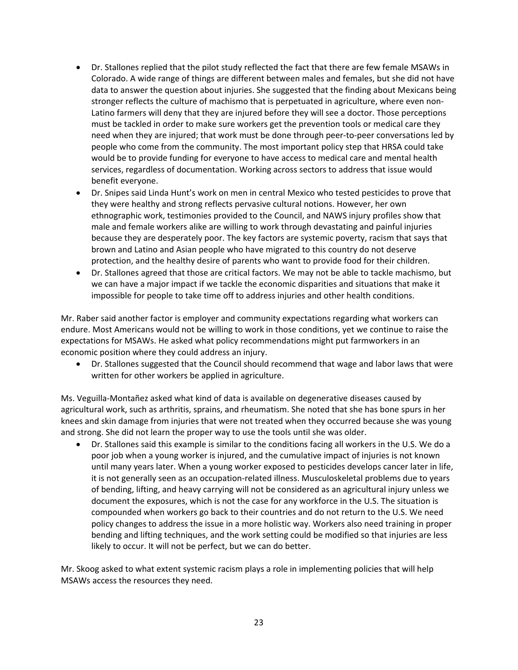- Dr. Stallones replied that the pilot study reflected the fact that there are few female MSAWs in Colorado. A wide range of things are different between males and females, but she did not have data to answer the question about injuries. She suggested that the finding about Mexicans being stronger reflects the culture of machismo that is perpetuated in agriculture, where even non-Latino farmers will deny that they are injured before they will see a doctor. Those perceptions must be tackled in order to make sure workers get the prevention tools or medical care they need when they are injured; that work must be done through peer-to-peer conversations led by people who come from the community. The most important policy step that HRSA could take would be to provide funding for everyone to have access to medical care and mental health services, regardless of documentation. Working across sectors to address that issue would benefit everyone.
- Dr. Snipes said Linda Hunt's work on men in central Mexico who tested pesticides to prove that they were healthy and strong reflects pervasive cultural notions. However, her own ethnographic work, testimonies provided to the Council, and NAWS injury profiles show that male and female workers alike are willing to work through devastating and painful injuries because they are desperately poor. The key factors are systemic poverty, racism that says that brown and Latino and Asian people who have migrated to this country do not deserve protection, and the healthy desire of parents who want to provide food for their children.
- Dr. Stallones agreed that those are critical factors. We may not be able to tackle machismo, but we can have a major impact if we tackle the economic disparities and situations that make it impossible for people to take time off to address injuries and other health conditions.

Mr. Raber said another factor is employer and community expectations regarding what workers can endure. Most Americans would not be willing to work in those conditions, yet we continue to raise the expectations for MSAWs. He asked what policy recommendations might put farmworkers in an economic position where they could address an injury.

• Dr. Stallones suggested that the Council should recommend that wage and labor laws that were written for other workers be applied in agriculture.

Ms. Veguilla-Montañez asked what kind of data is available on degenerative diseases caused by agricultural work, such as arthritis, sprains, and rheumatism. She noted that she has bone spurs in her knees and skin damage from injuries that were not treated when they occurred because she was young and strong. She did not learn the proper way to use the tools until she was older.

• Dr. Stallones said this example is similar to the conditions facing all workers in the U.S. We do a poor job when a young worker is injured, and the cumulative impact of injuries is not known until many years later. When a young worker exposed to pesticides develops cancer later in life, it is not generally seen as an occupation-related illness. Musculoskeletal problems due to years of bending, lifting, and heavy carrying will not be considered as an agricultural injury unless we document the exposures, which is not the case for any workforce in the U.S. The situation is compounded when workers go back to their countries and do not return to the U.S. We need policy changes to address the issue in a more holistic way. Workers also need training in proper bending and lifting techniques, and the work setting could be modified so that injuries are less likely to occur. It will not be perfect, but we can do better.

Mr. Skoog asked to what extent systemic racism plays a role in implementing policies that will help MSAWs access the resources they need.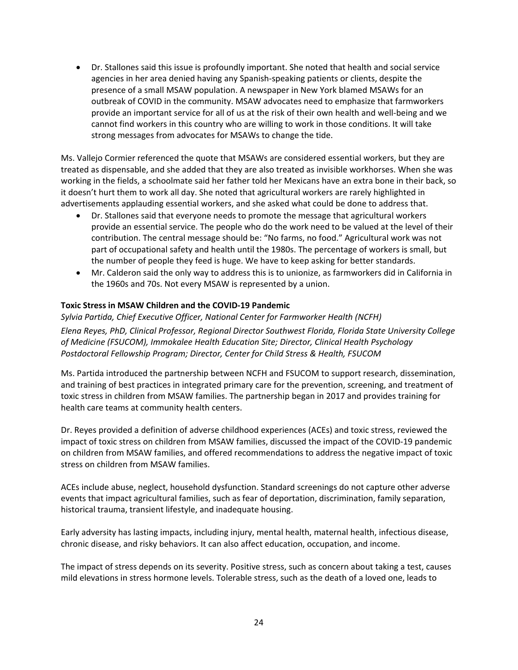• Dr. Stallones said this issue is profoundly important. She noted that health and social service agencies in her area denied having any Spanish-speaking patients or clients, despite the presence of a small MSAW population. A newspaper in New York blamed MSAWs for an outbreak of COVID in the community. MSAW advocates need to emphasize that farmworkers provide an important service for all of us at the risk of their own health and well-being and we cannot find workers in this country who are willing to work in those conditions. It will take strong messages from advocates for MSAWs to change the tide.

Ms. Vallejo Cormier referenced the quote that MSAWs are considered essential workers, but they are treated as dispensable, and she added that they are also treated as invisible workhorses. When she was working in the fields, a schoolmate said her father told her Mexicans have an extra bone in their back, so it doesn't hurt them to work all day. She noted that agricultural workers are rarely highlighted in advertisements applauding essential workers, and she asked what could be done to address that.

- Dr. Stallones said that everyone needs to promote the message that agricultural workers provide an essential service. The people who do the work need to be valued at the level of their contribution. The central message should be: "No farms, no food." Agricultural work was not part of occupational safety and health until the 1980s. The percentage of workers is small, but the number of people they feed is huge. We have to keep asking for better standards.
- Mr. Calderon said the only way to address this is to unionize, as farmworkers did in California in the 1960s and 70s. Not every MSAW is represented by a union.

#### **Toxic Stress in MSAW Children and the COVID-19 Pandemic**

*Sylvia Partida, Chief Executive Officer, National Center for Farmworker Health (NCFH)*

*Elena Reyes, PhD, Clinical Professor, Regional Director Southwest Florida, Florida State University College of Medicine (FSUCOM), Immokalee Health Education Site; Director, Clinical Health Psychology Postdoctoral Fellowship Program; Director, Center for Child Stress & Health, FSUCOM* 

Ms. Partida introduced the partnership between NCFH and FSUCOM to support research, dissemination, and training of best practices in integrated primary care for the prevention, screening, and treatment of toxic stress in children from MSAW families. The partnership began in 2017 and provides training for health care teams at community health centers.

Dr. Reyes provided a definition of adverse childhood experiences (ACEs) and toxic stress, reviewed the impact of toxic stress on children from MSAW families, discussed the impact of the COVID-19 pandemic on children from MSAW families, and offered recommendations to address the negative impact of toxic stress on children from MSAW families.

ACEs include abuse, neglect, household dysfunction. Standard screenings do not capture other adverse events that impact agricultural families, such as fear of deportation, discrimination, family separation, historical trauma, transient lifestyle, and inadequate housing.

Early adversity has lasting impacts, including injury, mental health, maternal health, infectious disease, chronic disease, and risky behaviors. It can also affect education, occupation, and income.

The impact of stress depends on its severity. Positive stress, such as concern about taking a test, causes mild elevations in stress hormone levels. Tolerable stress, such as the death of a loved one, leads to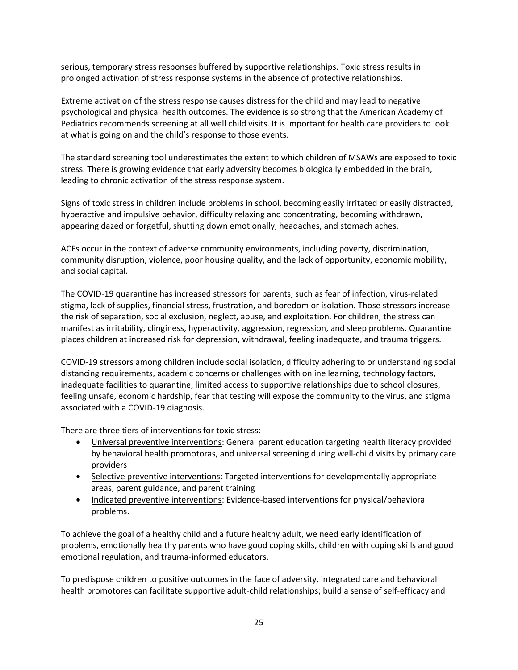serious, temporary stress responses buffered by supportive relationships. Toxic stress results in prolonged activation of stress response systems in the absence of protective relationships.

Extreme activation of the stress response causes distress for the child and may lead to negative psychological and physical health outcomes. The evidence is so strong that the American Academy of Pediatrics recommends screening at all well child visits. It is important for health care providers to look at what is going on and the child's response to those events.

The standard screening tool underestimates the extent to which children of MSAWs are exposed to toxic stress. There is growing evidence that early adversity becomes biologically embedded in the brain, leading to chronic activation of the stress response system.

Signs of toxic stress in children include problems in school, becoming easily irritated or easily distracted, hyperactive and impulsive behavior, difficulty relaxing and concentrating, becoming withdrawn, appearing dazed or forgetful, shutting down emotionally, headaches, and stomach aches.

ACEs occur in the context of adverse community environments, including poverty, discrimination, community disruption, violence, poor housing quality, and the lack of opportunity, economic mobility, and social capital.

The COVID-19 quarantine has increased stressors for parents, such as fear of infection, virus-related stigma, lack of supplies, financial stress, frustration, and boredom or isolation. Those stressors increase the risk of separation, social exclusion, neglect, abuse, and exploitation. For children, the stress can manifest as irritability, clinginess, hyperactivity, aggression, regression, and sleep problems. Quarantine places children at increased risk for depression, withdrawal, feeling inadequate, and trauma triggers.

COVID-19 stressors among children include social isolation, difficulty adhering to or understanding social distancing requirements, academic concerns or challenges with online learning, technology factors, inadequate facilities to quarantine, limited access to supportive relationships due to school closures, feeling unsafe, economic hardship, fear that testing will expose the community to the virus, and stigma associated with a COVID-19 diagnosis.

There are three tiers of interventions for toxic stress:

- Universal preventive interventions: General parent education targeting health literacy provided by behavioral health promotoras, and universal screening during well-child visits by primary care providers
- Selective preventive interventions: Targeted interventions for developmentally appropriate areas, parent guidance, and parent training
- Indicated preventive interventions: Evidence-based interventions for physical/behavioral problems.

To achieve the goal of a healthy child and a future healthy adult, we need early identification of problems, emotionally healthy parents who have good coping skills, children with coping skills and good emotional regulation, and trauma-informed educators.

To predispose children to positive outcomes in the face of adversity, integrated care and behavioral health promotores can facilitate supportive adult-child relationships; build a sense of self-efficacy and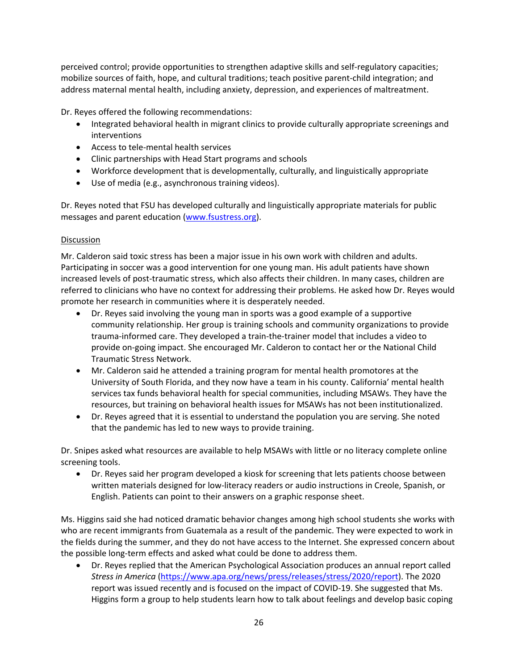perceived control; provide opportunities to strengthen adaptive skills and self-regulatory capacities; mobilize sources of faith, hope, and cultural traditions; teach positive parent-child integration; and address maternal mental health, including anxiety, depression, and experiences of maltreatment.

Dr. Reyes offered the following recommendations:

- Integrated behavioral health in migrant clinics to provide culturally appropriate screenings and interventions
- Access to tele-mental health services
- Clinic partnerships with Head Start programs and schools
- Workforce development that is developmentally, culturally, and linguistically appropriate
- Use of media (e.g., asynchronous training videos).

Dr. Reyes noted that FSU has developed culturally and linguistically appropriate materials for public messages and parent education [\(www.fsustress.org\)](http://www.fsustress.org/).

## Discussion

Mr. Calderon said toxic stress has been a major issue in his own work with children and adults. Participating in soccer was a good intervention for one young man. His adult patients have shown increased levels of post-traumatic stress, which also affects their children. In many cases, children are referred to clinicians who have no context for addressing their problems. He asked how Dr. Reyes would promote her research in communities where it is desperately needed.

- Dr. Reyes said involving the young man in sports was a good example of a supportive community relationship. Her group is training schools and community organizations to provide trauma-informed care. They developed a train-the-trainer model that includes a video to provide on-going impact. She encouraged Mr. Calderon to contact her or the National Child Traumatic Stress Network.
- Mr. Calderon said he attended a training program for mental health promotores at the University of South Florida, and they now have a team in his county. California' mental health services tax funds behavioral health for special communities, including MSAWs. They have the resources, but training on behavioral health issues for MSAWs has not been institutionalized.
- Dr. Reyes agreed that it is essential to understand the population you are serving. She noted that the pandemic has led to new ways to provide training.

Dr. Snipes asked what resources are available to help MSAWs with little or no literacy complete online screening tools.

• Dr. Reyes said her program developed a kiosk for screening that lets patients choose between written materials designed for low-literacy readers or audio instructions in Creole, Spanish, or English. Patients can point to their answers on a graphic response sheet.

Ms. Higgins said she had noticed dramatic behavior changes among high school students she works with who are recent immigrants from Guatemala as a result of the pandemic. They were expected to work in the fields during the summer, and they do not have access to the Internet. She expressed concern about the possible long-term effects and asked what could be done to address them.

• Dr. Reyes replied that the American Psychological Association produces an annual report called *Stress in America* [\(https://www.apa.org/news/press/releases/stress/2020/report\)](https://www.apa.org/news/press/releases/stress/2020/report). The 2020 report was issued recently and is focused on the impact of COVID-19. She suggested that Ms. Higgins form a group to help students learn how to talk about feelings and develop basic coping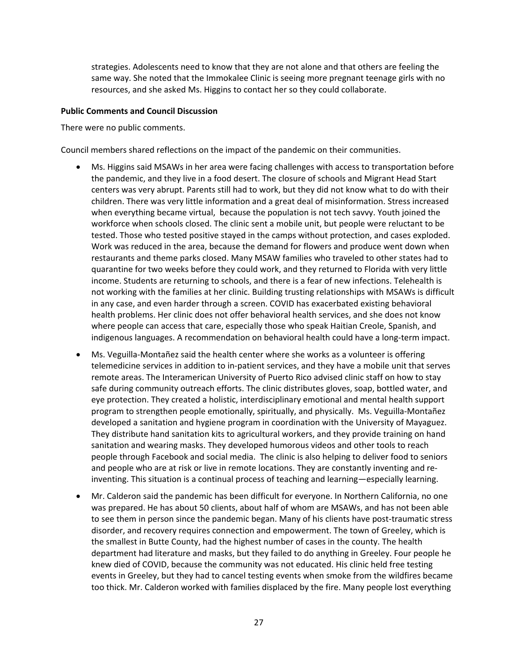strategies. Adolescents need to know that they are not alone and that others are feeling the same way. She noted that the Immokalee Clinic is seeing more pregnant teenage girls with no resources, and she asked Ms. Higgins to contact her so they could collaborate.

#### **Public Comments and Council Discussion**

There were no public comments.

Council members shared reflections on the impact of the pandemic on their communities.

- Ms. Higgins said MSAWs in her area were facing challenges with access to transportation before the pandemic, and they live in a food desert. The closure of schools and Migrant Head Start centers was very abrupt. Parents still had to work, but they did not know what to do with their children. There was very little information and a great deal of misinformation. Stress increased when everything became virtual, because the population is not tech savvy. Youth joined the workforce when schools closed. The clinic sent a mobile unit, but people were reluctant to be tested. Those who tested positive stayed in the camps without protection, and cases exploded. Work was reduced in the area, because the demand for flowers and produce went down when restaurants and theme parks closed. Many MSAW families who traveled to other states had to quarantine for two weeks before they could work, and they returned to Florida with very little income. Students are returning to schools, and there is a fear of new infections. Telehealth is not working with the families at her clinic. Building trusting relationships with MSAWs is difficult in any case, and even harder through a screen. COVID has exacerbated existing behavioral health problems. Her clinic does not offer behavioral health services, and she does not know where people can access that care, especially those who speak Haitian Creole, Spanish, and indigenous languages. A recommendation on behavioral health could have a long-term impact.
- Ms. Veguilla-Montañez said the health center where she works as a volunteer is offering telemedicine services in addition to in-patient services, and they have a mobile unit that serves remote areas. The Interamerican University of Puerto Rico advised clinic staff on how to stay safe during community outreach efforts. The clinic distributes gloves, soap, bottled water, and eye protection. They created a holistic, interdisciplinary emotional and mental health support program to strengthen people emotionally, spiritually, and physically. Ms. Veguilla-Montañez developed a sanitation and hygiene program in coordination with the University of Mayaguez. They distribute hand sanitation kits to agricultural workers, and they provide training on hand sanitation and wearing masks. They developed humorous videos and other tools to reach people through Facebook and social media. The clinic is also helping to deliver food to seniors and people who are at risk or live in remote locations. They are constantly inventing and reinventing. This situation is a continual process of teaching and learning—especially learning.
- Mr. Calderon said the pandemic has been difficult for everyone. In Northern California, no one was prepared. He has about 50 clients, about half of whom are MSAWs, and has not been able to see them in person since the pandemic began. Many of his clients have post-traumatic stress disorder, and recovery requires connection and empowerment. The town of Greeley, which is the smallest in Butte County, had the highest number of cases in the county. The health department had literature and masks, but they failed to do anything in Greeley. Four people he knew died of COVID, because the community was not educated. His clinic held free testing events in Greeley, but they had to cancel testing events when smoke from the wildfires became too thick. Mr. Calderon worked with families displaced by the fire. Many people lost everything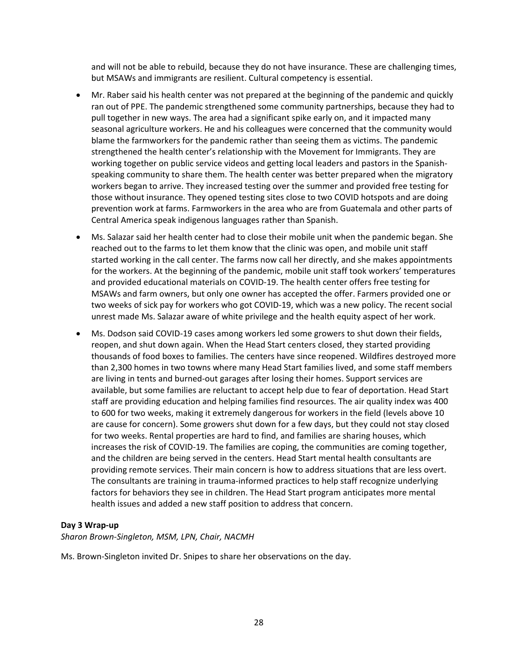and will not be able to rebuild, because they do not have insurance. These are challenging times, but MSAWs and immigrants are resilient. Cultural competency is essential.

- Mr. Raber said his health center was not prepared at the beginning of the pandemic and quickly ran out of PPE. The pandemic strengthened some community partnerships, because they had to pull together in new ways. The area had a significant spike early on, and it impacted many seasonal agriculture workers. He and his colleagues were concerned that the community would blame the farmworkers for the pandemic rather than seeing them as victims. The pandemic strengthened the health center's relationship with the Movement for Immigrants. They are working together on public service videos and getting local leaders and pastors in the Spanishspeaking community to share them. The health center was better prepared when the migratory workers began to arrive. They increased testing over the summer and provided free testing for those without insurance. They opened testing sites close to two COVID hotspots and are doing prevention work at farms. Farmworkers in the area who are from Guatemala and other parts of Central America speak indigenous languages rather than Spanish.
- Ms. Salazar said her health center had to close their mobile unit when the pandemic began. She reached out to the farms to let them know that the clinic was open, and mobile unit staff started working in the call center. The farms now call her directly, and she makes appointments for the workers. At the beginning of the pandemic, mobile unit staff took workers' temperatures and provided educational materials on COVID-19. The health center offers free testing for MSAWs and farm owners, but only one owner has accepted the offer. Farmers provided one or two weeks of sick pay for workers who got COVID-19, which was a new policy. The recent social unrest made Ms. Salazar aware of white privilege and the health equity aspect of her work.
- Ms. Dodson said COVID-19 cases among workers led some growers to shut down their fields, reopen, and shut down again. When the Head Start centers closed, they started providing thousands of food boxes to families. The centers have since reopened. Wildfires destroyed more than 2,300 homes in two towns where many Head Start families lived, and some staff members are living in tents and burned-out garages after losing their homes. Support services are available, but some families are reluctant to accept help due to fear of deportation. Head Start staff are providing education and helping families find resources. The air quality index was 400 to 600 for two weeks, making it extremely dangerous for workers in the field (levels above 10 are cause for concern). Some growers shut down for a few days, but they could not stay closed for two weeks. Rental properties are hard to find, and families are sharing houses, which increases the risk of COVID-19. The families are coping, the communities are coming together, and the children are being served in the centers. Head Start mental health consultants are providing remote services. Their main concern is how to address situations that are less overt. The consultants are training in trauma-informed practices to help staff recognize underlying factors for behaviors they see in children. The Head Start program anticipates more mental health issues and added a new staff position to address that concern.

#### **Day 3 Wrap-up**

*Sharon Brown-Singleton, MSM, LPN, Chair, NACMH*

Ms. Brown-Singleton invited Dr. Snipes to share her observations on the day.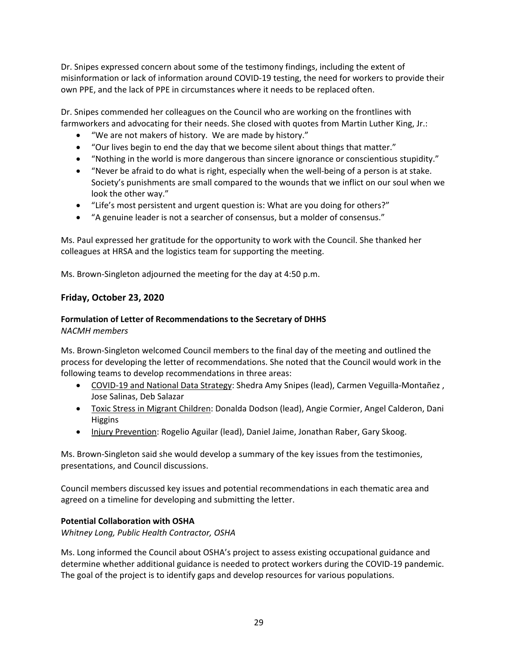Dr. Snipes expressed concern about some of the testimony findings, including the extent of misinformation or lack of information around COVID-19 testing, the need for workers to provide their own PPE, and the lack of PPE in circumstances where it needs to be replaced often.

Dr. Snipes commended her colleagues on the Council who are working on the frontlines with farmworkers and advocating for their needs. She closed with quotes from Martin Luther King, Jr.:

- "We are not makers of history. We are made by history."
- "Our lives begin to end the day that we become silent about things that matter."
- "Nothing in the world is more dangerous than sincere ignorance or conscientious stupidity."
- "Never be afraid to do what is right, especially when the well-being of a person is at stake. Society's punishments are small compared to the wounds that we inflict on our soul when we look the other way."
- "Life's most persistent and urgent question is: What are you doing for others?"
- "A genuine leader is not a searcher of consensus, but a molder of consensus."

Ms. Paul expressed her gratitude for the opportunity to work with the Council. She thanked her colleagues at HRSA and the logistics team for supporting the meeting.

Ms. Brown-Singleton adjourned the meeting for the day at 4:50 p.m.

# **Friday, October 23, 2020**

#### **Formulation of Letter of Recommendations to the Secretary of DHHS**

*NACMH members*

Ms. Brown-Singleton welcomed Council members to the final day of the meeting and outlined the process for developing the letter of recommendations. She noted that the Council would work in the following teams to develop recommendations in three areas:

- COVID-19 and National Data Strategy: Shedra Amy Snipes (lead), Carmen Veguilla-Montañez , Jose Salinas, Deb Salazar
- Toxic Stress in Migrant Children: Donalda Dodson (lead), Angie Cormier, Angel Calderon, Dani **Higgins**
- Injury Prevention: Rogelio Aguilar (lead), Daniel Jaime, Jonathan Raber, Gary Skoog.

Ms. Brown-Singleton said she would develop a summary of the key issues from the testimonies, presentations, and Council discussions.

Council members discussed key issues and potential recommendations in each thematic area and agreed on a timeline for developing and submitting the letter.

#### **Potential Collaboration with OSHA**

*Whitney Long, Public Health Contractor, OSHA*

Ms. Long informed the Council about OSHA's project to assess existing occupational guidance and determine whether additional guidance is needed to protect workers during the COVID-19 pandemic. The goal of the project is to identify gaps and develop resources for various populations.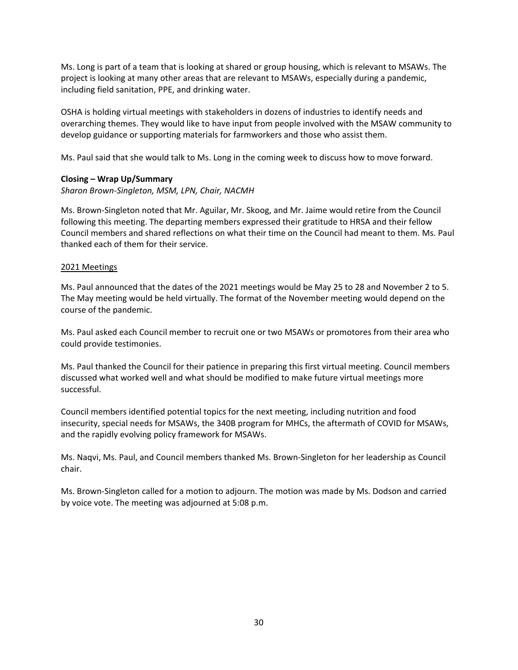Ms. Long is part of a team that is looking at shared or group housing, which is relevant to MSAWs. The project is looking at many other areas that are relevant to MSAWs, especially during a pandemic, including field sanitation, PPE, and drinking water.

OSHA is holding virtual meetings with stakeholders in dozens of industries to identify needs and overarching themes. They would like to have input from people involved with the MSAW community to develop guidance or supporting materials for farmworkers and those who assist them.

Ms. Paul said that she would talk to Ms. Long in the coming week to discuss how to move forward.

# **Closing – Wrap Up/Summary**

*Sharon Brown-Singleton, MSM, LPN, Chair, NACMH*

Ms. Brown-Singleton noted that Mr. Aguilar, Mr. Skoog, and Mr. Jaime would retire from the Council following this meeting. The departing members expressed their gratitude to HRSA and their fellow Council members and shared reflections on what their time on the Council had meant to them. Ms. Paul thanked each of them for their service.

## 2021 Meetings

Ms. Paul announced that the dates of the 2021 meetings would be May 25 to 28 and November 2 to 5. The May meeting would be held virtually. The format of the November meeting would depend on the course of the pandemic.

Ms. Paul asked each Council member to recruit one or two MSAWs or promotores from their area who could provide testimonies.

Ms. Paul thanked the Council for their patience in preparing this first virtual meeting. Council members discussed what worked well and what should be modified to make future virtual meetings more successful.

Council members identified potential topics for the next meeting, including nutrition and food insecurity, special needs for MSAWs, the 340B program for MHCs, the aftermath of COVID for MSAWs, and the rapidly evolving policy framework for MSAWs.

Ms. Naqvi, Ms. Paul, and Council members thanked Ms. Brown-Singleton for her leadership as Council chair.

Ms. Brown-Singleton called for a motion to adjourn. The motion was made by Ms. Dodson and carried by voice vote. The meeting was adjourned at 5:08 p.m.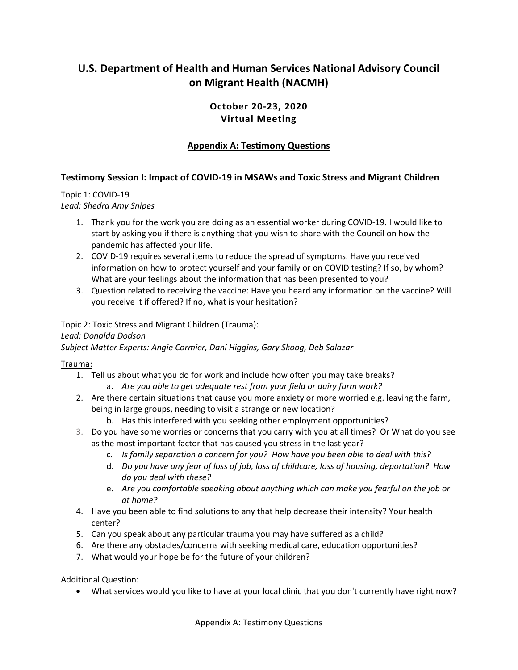# **U.S. Department of Health and Human Services National Advisory Council on Migrant Health (NACMH)**

# **October 20-23, 2020 Virtual Meeting**

# **Appendix A: Testimony Questions**

# **Testimony Session I: Impact of COVID-19 in MSAWs and Toxic Stress and Migrant Children**

## Topic 1: COVID-19

## *Lead: Shedra Amy Snipes*

- 1. Thank you for the work you are doing as an essential worker during COVID-19. I would like to start by asking you if there is anything that you wish to share with the Council on how the pandemic has affected your life.
- 2. COVID-19 requires several items to reduce the spread of symptoms. Have you received information on how to protect yourself and your family or on COVID testing? If so, by whom? What are your feelings about the information that has been presented to you?
- 3. Question related to receiving the vaccine: Have you heard any information on the vaccine? Will you receive it if offered? If no, what is your hesitation?

## Topic 2: Toxic Stress and Migrant Children (Trauma):

## *Lead: Donalda Dodson*

*Subject Matter Experts: Angie Cormier, Dani Higgins, Gary Skoog, Deb Salazar*

#### Trauma:

- 1. Tell us about what you do for work and include how often you may take breaks?
	- a. *Are you able to get adequate rest from your field or dairy farm work?*
- 2. Are there certain situations that cause you more anxiety or more worried e.g. leaving the farm, being in large groups, needing to visit a strange or new location?
	- b. Has this interfered with you seeking other employment opportunities?
- 3. Do you have some worries or concerns that you carry with you at all times? Or What do you see as the most important factor that has caused you stress in the last year?
	- c. *Is family separation a concern for you? How have you been able to deal with this?*
	- d. *Do you have any fear of loss of job, loss of childcare, loss of housing, deportation? How do you deal with these?*
	- e. *Are you comfortable speaking about anything which can make you fearful on the job or at home?*
- 4. Have you been able to find solutions to any that help decrease their intensity? Your health center?
- 5. Can you speak about any particular trauma you may have suffered as a child?
- 6. Are there any obstacles/concerns with seeking medical care, education opportunities?
- 7. What would your hope be for the future of your children?

# Additional Question:

• What services would you like to have at your local clinic that you don't currently have right now?